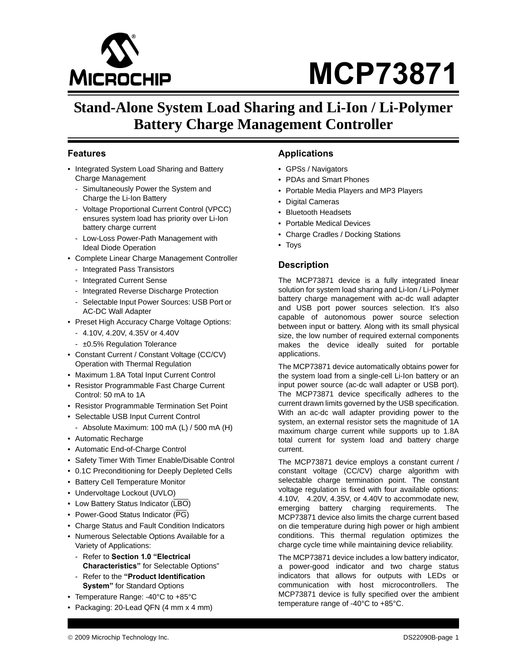

# **MCP73871**

# **Stand-Alone System Load Sharing and Li-Ion / Li-Polymer Battery Charge Management Controller**

#### **Features**

- Integrated System Load Sharing and Battery Charge Management
	- Simultaneously Power the System and Charge the Li-Ion Battery
	- Voltage Proportional Current Control (VPCC) ensures system load has priority over Li-Ion battery charge current
	- Low-Loss Power-Path Management with Ideal Diode Operation
- Complete Linear Charge Management Controller
	- Integrated Pass Transistors
	- Integrated Current Sense
	- Integrated Reverse Discharge Protection
	- Selectable Input Power Sources: USB Port or AC-DC Wall Adapter
- Preset High Accuracy Charge Voltage Options:
	- 4.10V, 4.20V, 4.35V or 4.40V
	- ±0.5% Regulation Tolerance
- Constant Current / Constant Voltage (CC/CV) Operation with Thermal Regulation
- Maximum 1.8A Total Input Current Control
- Resistor Programmable Fast Charge Current Control: 50 mA to 1A
- Resistor Programmable Termination Set Point
- Selectable USB Input Current Control
- Absolute Maximum: 100 mA (L) / 500 mA (H)
- Automatic Recharge
- Automatic End-of-Charge Control
- Safety Timer With Timer Enable/Disable Control
- 0.1C Preconditioning for Deeply Depleted Cells
- Battery Cell Temperature Monitor
- Undervoltage Lockout (UVLO)
- Low Battery Status Indicator (LBO)
- Power-Good Status Indicator (PG)
- Charge Status and Fault Condition Indicators
- Numerous Selectable Options Available for a Variety of Applications:
	- Refer to **[Section 1.0 "Electrical](#page-4-0)  [Characteristics"](#page-4-0)** for Selectable Options"
	- Refer to the **"[Product Identification](#page-34-0)  [System"](#page-34-0)** for Standard Options
- Temperature Range: -40°C to +85°C
- Packaging: 20-Lead QFN (4 mm x 4 mm)

#### **Applications**

- GPSs / Navigators
- PDAs and Smart Phones
- Portable Media Players and MP3 Players
- Digital Cameras
- Bluetooth Headsets
- Portable Medical Devices
- Charge Cradles / Docking Stations
- Toys

# **Description**

The MCP73871 device is a fully integrated linear solution for system load sharing and Li-Ion / Li-Polymer battery charge management with ac-dc wall adapter and USB port power sources selection. It's also capable of autonomous power source selection between input or battery. Along with its small physical size, the low number of required external components makes the device ideally suited for portable applications.

The MCP73871 device automatically obtains power for the system load from a single-cell Li-Ion battery or an input power source (ac-dc wall adapter or USB port). The MCP73871 device specifically adheres to the current drawn limits governed by the USB specification. With an ac-dc wall adapter providing power to the system, an external resistor sets the magnitude of 1A maximum charge current while supports up to 1.8A total current for system load and battery charge current.

The MCP73871 device employs a constant current / constant voltage (CC/CV) charge algorithm with selectable charge termination point. The constant voltage regulation is fixed with four available options: 4.10V, 4.20V, 4.35V, or 4.40V to accommodate new, emerging battery charging requirements. The MCP73871 device also limits the charge current based on die temperature during high power or high ambient conditions. This thermal regulation optimizes the charge cycle time while maintaining device reliability.

The MCP73871 device includes a low battery indicator, a power-good indicator and two charge status indicators that allows for outputs with LEDs or communication with host microcontrollers. The MCP73871 device is fully specified over the ambient temperature range of -40°C to +85°C.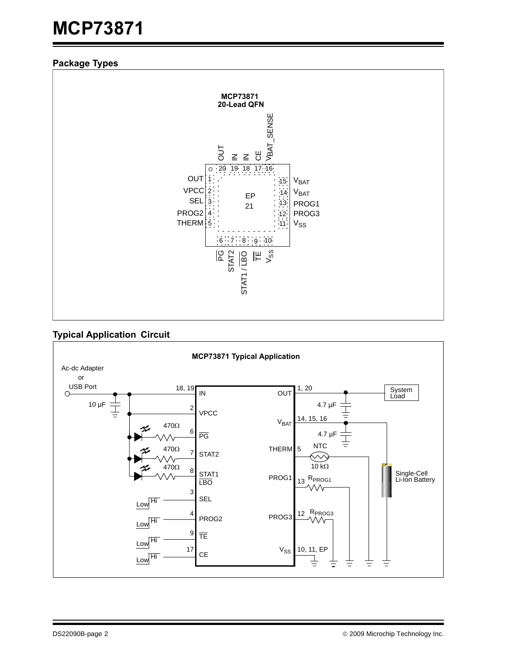# **Package Types**



## **Typical Application Circuit**

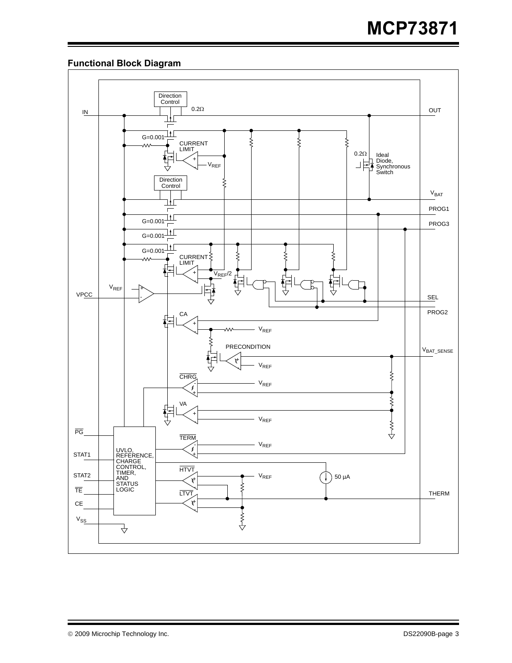# **Functional Block Diagram**

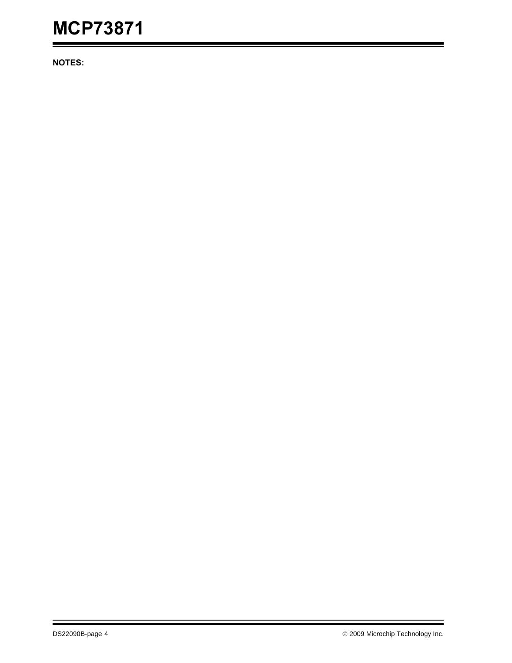**NOTES:**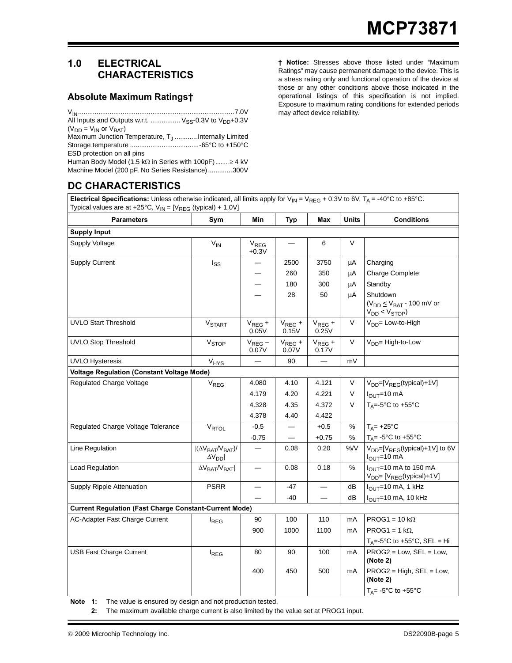# <span id="page-4-0"></span>**1.0 ELECTRICAL CHARACTERISTICS**

#### **Absolute Maximum Ratings†**

| All Inputs and Outputs w.r.t. $V_{SS}$ -0.3V to $V_{DD}$ +0.3V     |
|--------------------------------------------------------------------|
| $(V_{DD} = V_{IN}$ or $V_{BAT}$ )                                  |
| Maximum Junction Temperature, T <sub>.I</sub> Internally Limited   |
|                                                                    |
| ESD protection on all pins                                         |
| Human Body Model (1.5 k $\Omega$ in Series with 100pF) $\geq$ 4 kV |
| Machine Model (200 pF, No Series Resistance)300V                   |

**† Notice:** Stresses above those listed under "Maximum Ratings" may cause permanent damage to the device. This is a stress rating only and functional operation of the device at those or any other conditions above those indicated in the operational listings of this specification is not implied. Exposure to maximum rating conditions for extended periods may affect device reliability.

# **DC CHARACTERISTICS**

**Electrical Specifications:** Unless otherwise indicated, all limits apply for V<sub>IN</sub> = V<sub>REG</sub> + 0.3V to 6V, T<sub>A</sub> = -40°C to +85°C. Typical values are at  $+25^{\circ}$ C,  $V_{\text{IN}} = [V_{\text{PRE}} \text{ (typical)} + 1.0 \text{V}]$ 

| <b>Parameters</b>                                             | Sym                                             | <b>Min</b>               | <b>Typ</b>               | Max                  | <b>Units</b>  | <b>Conditions</b>                                                                      |
|---------------------------------------------------------------|-------------------------------------------------|--------------------------|--------------------------|----------------------|---------------|----------------------------------------------------------------------------------------|
| <b>Supply Input</b>                                           |                                                 |                          |                          |                      |               |                                                                                        |
| Supply Voltage                                                | $V_{IN}$                                        | $V_{REG}$<br>$+0.3V$     | $\overline{\phantom{0}}$ | 6                    | V             |                                                                                        |
| <b>Supply Current</b>                                         | $I_{SS}$                                        |                          | 2500                     | 3750                 | μA            | Charging                                                                               |
|                                                               |                                                 |                          | 260                      | 350                  | μA            | <b>Charge Complete</b>                                                                 |
|                                                               |                                                 |                          | 180                      | 300                  | μA            | Standby                                                                                |
|                                                               |                                                 |                          | 28                       | 50                   | μA            | Shutdown<br>$(V_{DD} \leq V_{BAT} - 100$ mV or<br>$V_{DD}$ < $V_{STOP}$ )              |
| <b>UVLO Start Threshold</b>                                   | <b>VSTART</b>                                   | $V_{REG}$ +<br>0.05V     | $V_{REG}$ +<br>0.15V     | $V_{REG}$ +<br>0.25V | V             | $V_{DD}$ = Low-to-High                                                                 |
| <b>UVLO Stop Threshold</b>                                    | V <sub>STOP</sub>                               | $V_{REG}$ –<br>0.07V     | $V_{REG}$ +<br>0.07V     | $V_{REG}$ +<br>0.17V | $\mathsf{V}$  | V <sub>DD</sub> = High-to-Low                                                          |
| <b>UVLO Hysteresis</b>                                        | $V_{HYS}$                                       |                          | 90                       |                      | mV            |                                                                                        |
| <b>Voltage Regulation (Constant Voltage Mode)</b>             |                                                 |                          |                          |                      |               |                                                                                        |
| Regulated Charge Voltage                                      | $V_{REG}$                                       | 4.080                    | 4.10                     | 4.121                | V             | $V_{DD}=[V_{REG}(typical)+1V]$                                                         |
|                                                               |                                                 | 4.179                    | 4.20                     | 4.221                | V             | $I_{OUT} = 10$ mA                                                                      |
|                                                               |                                                 | 4.328                    | 4.35                     | 4.372                | V             | $T_A = -5^\circ \text{C}$ to $+55^\circ \text{C}$                                      |
|                                                               |                                                 | 4.378                    | 4.40                     | 4.422                |               |                                                                                        |
| Regulated Charge Voltage Tolerance                            | $V_{\sf RTOL}$                                  | $-0.5$                   |                          | $+0.5$               | $\%$          | $T_A = +25$ °C                                                                         |
|                                                               |                                                 | $-0.75$                  |                          | $+0.75$              | ℅             | $T_A = -5^\circ \text{C}$ to $+55^\circ \text{C}$                                      |
| Line Regulation                                               | $ (\Delta V_{BAT}/V_{BAT})/$<br>$\Delta V_{DD}$ | $\overline{\phantom{0}}$ | 0.08                     | 0.20                 | $\%$ /V       | $V_{DD}$ =[ $V_{REG}$ (typical)+1V] to 6V<br>$I_{OUT} = 10$ mA                         |
| Load Regulation                                               | $ \Delta V_{BAT} / V_{BAT} $                    |                          | 0.08                     | 0.18                 | %             | $I_{\text{OUT}}$ =10 mA to 150 mA<br>V <sub>DD</sub> = [V <sub>REG</sub> (typical)+1V] |
| Supply Ripple Attenuation                                     | <b>PSRR</b>                                     |                          | -47                      |                      | dB            | $IOUT=10$ mA, 1 kHz                                                                    |
|                                                               |                                                 |                          | $-40$                    |                      | $\mathsf{dB}$ | $I_{OUT}$ =10 mA, 10 kHz                                                               |
| <b>Current Regulation (Fast Charge Constant-Current Mode)</b> |                                                 |                          |                          |                      |               |                                                                                        |
| AC-Adapter Fast Charge Current                                | $I_{REG}$                                       | 90                       | 100                      | 110                  | mA            | $PROG1 = 10 k\Omega$                                                                   |
|                                                               |                                                 | 900                      | 1000                     | 1100                 | mA            | PROG1 = 1 k $\Omega$ ,                                                                 |
|                                                               |                                                 |                          |                          |                      |               | $T_A = -5$ °C to +55°C, SEL = Hi                                                       |
| <b>USB Fast Charge Current</b>                                | <sup>I</sup> REG                                | 80                       | 90                       | 100                  | mA            | $PROG2 = Low, SEL = Low,$<br>(Note 2)                                                  |
|                                                               |                                                 | 400                      | 450                      | 500                  | mA            | $PROG2 = High, SEL = Low,$<br>(Note 2)                                                 |
|                                                               |                                                 |                          |                          |                      |               | $T_A = -5^\circ \text{C}$ to $+55^\circ \text{C}$                                      |

<span id="page-4-2"></span><span id="page-4-1"></span>**Note 1:** The value is ensured by design and not production tested.

**2:** The maximum available charge current is also limited by the value set at PROG1 input.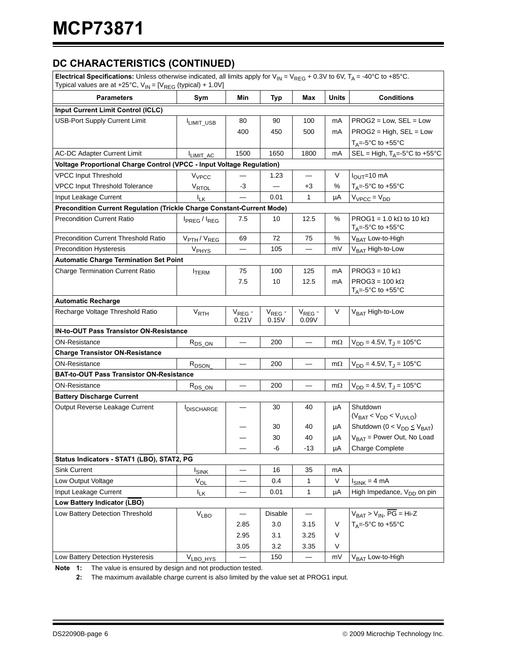# **DC CHARACTERISTICS (CONTINUED)**

**Electrical Specifications:** Unless otherwise indicated, all limits apply for V<sub>IN</sub> = V<sub>REG</sub> + 0.3V to 6V, T<sub>A</sub> = -40°C to +85°C. Typical values are at +25°C,  $V_{\text{IN}} = [V_{\text{REG}} \text{ (typical)} + 1.0 \text{V}]$ 

| rypical values are at $723$ C, $v_{\text{IN}} - v_{\text{REG}}$ (typical) + 1.0 $v_{\text{I}}$ |                                      |                      |                      |                      |              |                                                                                              |  |  |  |  |
|------------------------------------------------------------------------------------------------|--------------------------------------|----------------------|----------------------|----------------------|--------------|----------------------------------------------------------------------------------------------|--|--|--|--|
| <b>Parameters</b>                                                                              | Sym                                  | Min                  | Typ                  | Max                  | <b>Units</b> | <b>Conditions</b>                                                                            |  |  |  |  |
| <b>Input Current Limit Control (ICLC)</b>                                                      |                                      |                      |                      |                      |              |                                                                                              |  |  |  |  |
| <b>USB-Port Supply Current Limit</b>                                                           | LIMIT_USB                            | 80                   | 90                   | 100                  | mA           | $PROG2 = Low, SEL = Low$                                                                     |  |  |  |  |
|                                                                                                |                                      | 400                  | 450                  | 500                  | mA           | $PROG2 = High, SEL = Low$                                                                    |  |  |  |  |
|                                                                                                |                                      |                      |                      |                      |              | $T_A = -5^\circ \text{C}$ to $+55^\circ \text{C}$                                            |  |  |  |  |
| <b>AC-DC Adapter Current Limit</b>                                                             | ILIMIT_AC                            | 1500                 | 1650                 | 1800                 | mA           | SEL = High, $T_A = -5^\circ \text{C}$ to +55 $\circ \text{C}$                                |  |  |  |  |
| Voltage Proportional Charge Control (VPCC - Input Voltage Regulation)                          |                                      |                      |                      |                      |              |                                                                                              |  |  |  |  |
| <b>VPCC Input Threshold</b>                                                                    | V <sub>VPCC</sub>                    |                      | 1.23                 |                      | V            | $I_{\text{OUT}}$ =10 mA                                                                      |  |  |  |  |
| <b>VPCC Input Threshold Tolerance</b>                                                          | $V_{\text{RTOL}}$                    | -3                   |                      | $+3$                 | %            | $T_A = -5^\circ \text{C}$ to $+55^\circ \text{C}$                                            |  |  |  |  |
| Input Leakage Current                                                                          | $I_{LK}$                             |                      | 0.01                 | 1                    | μA           | $V_{VPCC} = V_{DD}$                                                                          |  |  |  |  |
| Precondition Current Regulation (Trickle Charge Constant-Current Mode)                         |                                      |                      |                      |                      |              |                                                                                              |  |  |  |  |
| <b>Precondition Current Ratio</b>                                                              | I <sub>PREG</sub> / I <sub>REG</sub> | 7.5                  | 10                   | 12.5                 | %            | PROG1 = 1.0 k $\Omega$ to 10 k $\Omega$<br>$T_A = -5^\circ \text{C}$ to $+55^\circ \text{C}$ |  |  |  |  |
| <b>Precondition Current Threshold Ratio</b>                                                    | V <sub>PTH</sub> /V <sub>REG</sub>   | 69                   | 72                   | 75                   | %            | V <sub>BAT</sub> Low-to-High                                                                 |  |  |  |  |
| <b>Precondition Hysteresis</b>                                                                 | V <sub>PHYS</sub>                    |                      | 105                  |                      | mV           | V <sub>BAT</sub> High-to-Low                                                                 |  |  |  |  |
| <b>Automatic Charge Termination Set Point</b>                                                  |                                      |                      |                      |                      |              |                                                                                              |  |  |  |  |
| <b>Charge Termination Current Ratio</b>                                                        | <b>I</b> TERM                        | 75                   | 100                  | 125                  | mA           | PROG3 = 10 k $\Omega$                                                                        |  |  |  |  |
|                                                                                                |                                      | 7.5                  | 10                   | 12.5                 | mA           | $PROG3 = 100 k\Omega$                                                                        |  |  |  |  |
|                                                                                                |                                      |                      |                      |                      |              | $T_A = -5^\circ \text{C}$ to $+55^\circ \text{C}$                                            |  |  |  |  |
| <b>Automatic Recharge</b>                                                                      |                                      |                      |                      |                      |              |                                                                                              |  |  |  |  |
| Recharge Voltage Threshold Ratio                                                               | <b>V<sub>RTH</sub></b>               | $V_{REG}$ -<br>0.21V | $V_{REG}$ -<br>0.15V | $V_{REG}$ -<br>0.09V | V            | V <sub>BAT</sub> High-to-Low                                                                 |  |  |  |  |
| <b>IN-to-OUT Pass Transistor ON-Resistance</b>                                                 |                                      |                      |                      |                      |              |                                                                                              |  |  |  |  |
| <b>ON-Resistance</b>                                                                           | $R_{DS\_ON}$                         |                      | 200                  |                      | $m\Omega$    | $V_{DD} = 4.5V$ , T <sub>J</sub> = 105°C                                                     |  |  |  |  |
| <b>Charge Transistor ON-Resistance</b>                                                         |                                      |                      |                      |                      |              |                                                                                              |  |  |  |  |
| ON-Resistance                                                                                  | R <sub>DSON</sub>                    |                      | 200                  |                      | $m\Omega$    | $V_{DD} = 4.5V$ , T <sub>J</sub> = 105°C                                                     |  |  |  |  |
| <b>BAT-to-OUT Pass Transistor ON-Resistance</b>                                                |                                      |                      |                      |                      |              |                                                                                              |  |  |  |  |
| <b>ON-Resistance</b>                                                                           | $R_{DS\_ON}$                         |                      | 200                  |                      | $m\Omega$    | $V_{DD} = 4.5V$ , T <sub>J</sub> = 105°C                                                     |  |  |  |  |
| <b>Battery Discharge Current</b>                                                               |                                      |                      |                      |                      |              |                                                                                              |  |  |  |  |
| Output Reverse Leakage Current                                                                 | <b>I</b> DISCHARGE                   |                      | 30                   | 40                   | μA           | Shutdown<br>$(V_{BAT} < V_{DD} < V_{UVLO})$                                                  |  |  |  |  |
|                                                                                                |                                      |                      | 30                   | 40                   | μA           | Shutdown (0 < $V_{DD} \leq V_{BAT}$ )                                                        |  |  |  |  |
|                                                                                                |                                      |                      | 30                   | 40                   | μA           | $V_{BAT}$ = Power Out, No Load                                                               |  |  |  |  |
|                                                                                                |                                      |                      | -6                   | $-13$                | μA           | Charge Complete                                                                              |  |  |  |  |
| Status Indicators - STAT1 (LBO), STAT2, PG                                                     |                                      |                      |                      |                      |              |                                                                                              |  |  |  |  |
| <b>Sink Current</b>                                                                            | $I_{\text{SINK}}$                    |                      | 16                   | 35                   | mA           |                                                                                              |  |  |  |  |
| Low Output Voltage                                                                             | $V_{OL}$                             |                      | 0.4                  | 1                    | $\vee$       | $I_{SINK} = 4 mA$                                                                            |  |  |  |  |
| Input Leakage Current                                                                          | $I_{LK}$                             |                      | 0.01                 | 1                    | μA           | High Impedance, V <sub>DD</sub> on pin                                                       |  |  |  |  |
| Low Battery Indicator (LBO)                                                                    |                                      |                      |                      |                      |              |                                                                                              |  |  |  |  |
| Low Battery Detection Threshold                                                                | V <sub>LBO</sub>                     |                      | Disable              |                      |              | $V_{BAT}$ > $V_{IN}$ , $\overline{PG}$ = Hi-Z                                                |  |  |  |  |
|                                                                                                |                                      | 2.85                 | 3.0                  | 3.15                 | V            | $T_A = -5^\circ \text{C}$ to $+55^\circ \text{C}$                                            |  |  |  |  |
|                                                                                                |                                      | 2.95                 | 3.1                  | 3.25                 | V            |                                                                                              |  |  |  |  |
|                                                                                                |                                      | 3.05                 | 3.2                  | 3.35                 | V            |                                                                                              |  |  |  |  |
| Low Battery Detection Hysteresis                                                               | VLBO_HYS                             |                      | 150                  |                      | mV           | V <sub>BAT</sub> Low-to-High                                                                 |  |  |  |  |

**Note 1:** The value is ensured by design and not production tested.

**2:** The maximum available charge current is also limited by the value set at PROG1 input.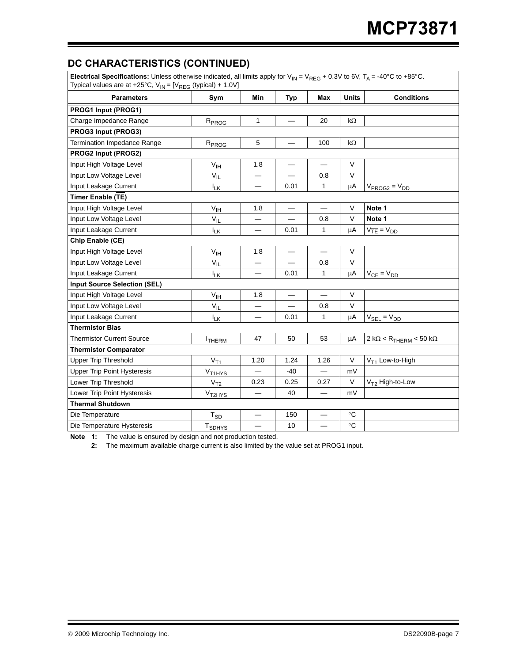# **DC CHARACTERISTICS (CONTINUED)**

| Electrical Specifications: Unless otherwise indicated, all limits apply for $V_{IN} = V_{REG} + 0.3V$ to 6V, $T_A = -40^{\circ}C$ to +85°C.<br>Typical values are at +25°C, $V_{IN} = [V_{REG} (typical) + 1.0V]$ |                            |              |                          |      |              |                                                  |  |  |  |
|-------------------------------------------------------------------------------------------------------------------------------------------------------------------------------------------------------------------|----------------------------|--------------|--------------------------|------|--------------|--------------------------------------------------|--|--|--|
| <b>Parameters</b>                                                                                                                                                                                                 | Sym                        | Min          | Typ                      | Max  | <b>Units</b> | <b>Conditions</b>                                |  |  |  |
| PROG1 Input (PROG1)                                                                                                                                                                                               |                            |              |                          |      |              |                                                  |  |  |  |
| Charge Impedance Range                                                                                                                                                                                            | R <sub>PROG</sub>          | $\mathbf{1}$ |                          | 20   | kΩ           |                                                  |  |  |  |
| PROG3 Input (PROG3)                                                                                                                                                                                               |                            |              |                          |      |              |                                                  |  |  |  |
| Termination Impedance Range                                                                                                                                                                                       | R <sub>PROG</sub>          | 5            |                          | 100  | kΩ           |                                                  |  |  |  |
| <b>PROG2 Input (PROG2)</b>                                                                                                                                                                                        |                            |              |                          |      |              |                                                  |  |  |  |
| Input High Voltage Level                                                                                                                                                                                          | $V_{\text{IH}}$            | 1.8          |                          |      | V            |                                                  |  |  |  |
| Input Low Voltage Level                                                                                                                                                                                           | $V_{IL}$                   |              |                          | 0.8  | $\vee$       |                                                  |  |  |  |
| Input Leakage Current                                                                                                                                                                                             | <b>ILK</b>                 |              | 0.01                     | 1    | μA           | $V_{PROG2} = V_{DD}$                             |  |  |  |
| <b>Timer Enable (TE)</b>                                                                                                                                                                                          |                            |              |                          |      |              |                                                  |  |  |  |
| Input High Voltage Level                                                                                                                                                                                          | $\mathsf{V}_{\mathsf{IH}}$ | 1.8          | $\overline{\phantom{0}}$ |      | $\vee$       | Note 1                                           |  |  |  |
| Input Low Voltage Level                                                                                                                                                                                           | $V_{IL}$                   |              |                          | 0.8  | $\vee$       | Note 1                                           |  |  |  |
| Input Leakage Current                                                                                                                                                                                             | $I_{LK}$                   |              | 0.01                     | 1    | μA           | $V_{\overline{TE}} = V_{DD}$                     |  |  |  |
| Chip Enable (CE)                                                                                                                                                                                                  |                            |              |                          |      |              |                                                  |  |  |  |
| Input High Voltage Level                                                                                                                                                                                          | $V_{\text{IH}}$            | 1.8          |                          |      | $\vee$       |                                                  |  |  |  |
| Input Low Voltage Level                                                                                                                                                                                           | $V_{IL}$                   |              |                          | 0.8  | $\vee$       |                                                  |  |  |  |
| Input Leakage Current                                                                                                                                                                                             | $I_{LK}$                   |              | 0.01                     | 1    | μA           | $V_{CE} = V_{DD}$                                |  |  |  |
| <b>Input Source Selection (SEL)</b>                                                                                                                                                                               |                            |              |                          |      |              |                                                  |  |  |  |
| Input High Voltage Level                                                                                                                                                                                          | $\mathsf{V}_{\mathsf{IH}}$ | 1.8          |                          |      | $\vee$       |                                                  |  |  |  |
| Input Low Voltage Level                                                                                                                                                                                           | $V_{IL}$                   |              |                          | 0.8  | $\vee$       |                                                  |  |  |  |
| Input Leakage Current                                                                                                                                                                                             | <sup>I</sup> LK            |              | 0.01                     | 1    | μA           | $V_{SEL} = V_{DD}$                               |  |  |  |
| <b>Thermistor Bias</b>                                                                                                                                                                                            |                            |              |                          |      |              |                                                  |  |  |  |
| <b>Thermistor Current Source</b>                                                                                                                                                                                  | <b>I</b> THERM             | 47           | 50                       | 53   | μA           | $2 k\Omega < R$ <sub>THERM</sub> < 50 k $\Omega$ |  |  |  |
| <b>Thermistor Comparator</b>                                                                                                                                                                                      |                            |              |                          |      |              |                                                  |  |  |  |
| <b>Upper Trip Threshold</b>                                                                                                                                                                                       | $V_{T1}$                   | 1.20         | 1.24                     | 1.26 | $\vee$       | V <sub>T1</sub> Low-to-High                      |  |  |  |
| <b>Upper Trip Point Hysteresis</b>                                                                                                                                                                                | V <sub>T1HYS</sub>         |              | $-40$                    |      | mV           |                                                  |  |  |  |
| Lower Trip Threshold                                                                                                                                                                                              | V <sub>T2</sub>            | 0.23         | 0.25                     | 0.27 | $\vee$       | V <sub>T2</sub> High-to-Low                      |  |  |  |
| Lower Trip Point Hysteresis                                                                                                                                                                                       | V <sub>T2HYS</sub>         |              | 40                       |      | mV           |                                                  |  |  |  |
| <b>Thermal Shutdown</b>                                                                                                                                                                                           |                            |              |                          |      |              |                                                  |  |  |  |
| Die Temperature                                                                                                                                                                                                   | $T_{SD}$                   |              | 150                      |      | $^{\circ}C$  |                                                  |  |  |  |
| Die Temperature Hysteresis                                                                                                                                                                                        | T <sub>SDHYS</sub>         |              | 10                       |      | $\circ$ C    |                                                  |  |  |  |

**Note 1:** The value is ensured by design and not production tested.

**2:** The maximum available charge current is also limited by the value set at PROG1 input.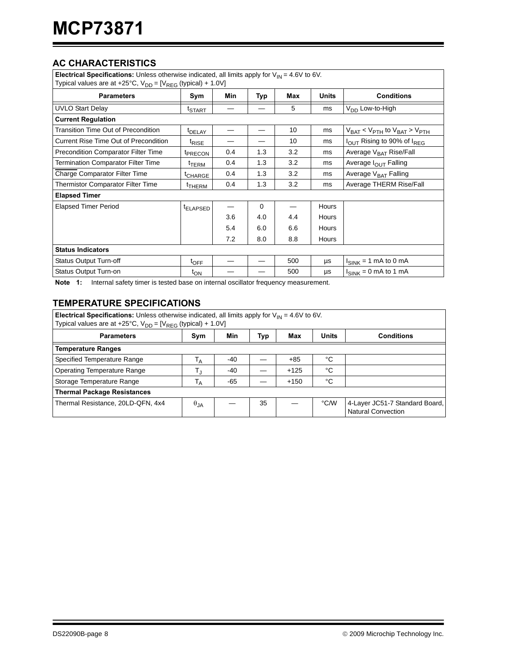#### **AC CHARACTERISTICS**

**Electrical Specifications:** Unless otherwise indicated, all limits apply for  $V_{IN} = 4.6V$  to 6V.

| Typical values are at +25°C, $V_{DD} = [V_{REG} (typical) + 1.0V]$ |                      |     |          |            |              |                                                    |  |  |  |
|--------------------------------------------------------------------|----------------------|-----|----------|------------|--------------|----------------------------------------------------|--|--|--|
| <b>Parameters</b>                                                  | Sym                  | Min | Typ      | <b>Max</b> | <b>Units</b> | <b>Conditions</b>                                  |  |  |  |
| <b>UVLO Start Delay</b>                                            | <sup>t</sup> START   |     |          | 5          | ms           | V <sub>DD</sub> Low-to-High                        |  |  |  |
| <b>Current Regulation</b>                                          |                      |     |          |            |              |                                                    |  |  |  |
| Transition Time Out of Precondition                                | <sup>t</sup> DELAY   |     | —        | 10         | ms           | $V_{BAT}$ < $V_{PTH}$ to $V_{BAT}$ > $V_{PTH}$     |  |  |  |
| <b>Current Rise Time Out of Precondition</b>                       | <sup>t</sup> RISE    |     |          | 10         | ms           | I <sub>OUT</sub> Rising to 90% of I <sub>REG</sub> |  |  |  |
| Precondition Comparator Filter Time                                | t <sub>PRECON</sub>  | 0.4 | 1.3      | 3.2        | ms           | Average V <sub>BAT</sub> Rise/Fall                 |  |  |  |
| <b>Termination Comparator Filter Time</b>                          | <sup>t</sup> TERM    | 0.4 | 1.3      | 3.2        | ms           | Average I <sub>OUT</sub> Falling                   |  |  |  |
| Charge Comparator Filter Time                                      | <sup>t</sup> CHARGE  | 0.4 | 1.3      | 3.2        | ms           | Average V <sub>BAT</sub> Falling                   |  |  |  |
| <b>Thermistor Comparator Filter Time</b>                           | <sup>t</sup> THERM   | 0.4 | 1.3      | 3.2        | ms           | Average THERM Rise/Fall                            |  |  |  |
| <b>Elapsed Timer</b>                                               |                      |     |          |            |              |                                                    |  |  |  |
| <b>Elapsed Timer Period</b>                                        | <sup>t</sup> ELAPSED |     | $\Omega$ |            | Hours        |                                                    |  |  |  |
|                                                                    |                      | 3.6 | 4.0      | 4.4        | Hours        |                                                    |  |  |  |
|                                                                    |                      | 5.4 | 6.0      | 6.6        | Hours        |                                                    |  |  |  |
|                                                                    |                      | 7.2 | 8.0      | 8.8        | Hours        |                                                    |  |  |  |
| <b>Status Indicators</b>                                           |                      |     |          |            |              |                                                    |  |  |  |
| <b>Status Output Turn-off</b>                                      | $t_{\text{OFF}}$     |     |          | 500        | μs           | $I_{SINK} = 1$ mA to 0 mA                          |  |  |  |
| <b>Status Output Turn-on</b>                                       | $t_{ON}$             |     |          | 500        | μs           | $I_{SINK} = 0$ mA to 1 mA                          |  |  |  |

Note 1: Internal safety timer is tested base on internal oscillator frequency measurement.

#### **TEMPERATURE SPECIFICATIONS**

| <b>Electrical Specifications:</b> Unless otherwise indicated, all limits apply for $V_{IN} = 4.6V$ to 6V.<br>Typical values are at +25°C, $V_{DD} = [V_{REG} (typical) + 1.0V]$ |                |       |     |        |              |                                                             |  |  |
|---------------------------------------------------------------------------------------------------------------------------------------------------------------------------------|----------------|-------|-----|--------|--------------|-------------------------------------------------------------|--|--|
| <b>Parameters</b>                                                                                                                                                               | Sym            | Min   | Typ | Max    | <b>Units</b> | <b>Conditions</b>                                           |  |  |
| <b>Temperature Ranges</b>                                                                                                                                                       |                |       |     |        |              |                                                             |  |  |
| Specified Temperature Range                                                                                                                                                     | Т <sub>А</sub> | -40   |     | $+85$  | °C           |                                                             |  |  |
| <b>Operating Temperature Range</b>                                                                                                                                              |                | -40   |     | $+125$ | °C           |                                                             |  |  |
| Storage Temperature Range                                                                                                                                                       | T <sub>A</sub> | $-65$ |     | $+150$ | °C           |                                                             |  |  |
| <b>Thermal Package Resistances</b>                                                                                                                                              |                |       |     |        |              |                                                             |  |  |
| Thermal Resistance, 20LD-QFN, 4x4                                                                                                                                               | $\theta$ JA    |       | 35  |        | °C/W         | 4-Layer JC51-7 Standard Board,<br><b>Natural Convection</b> |  |  |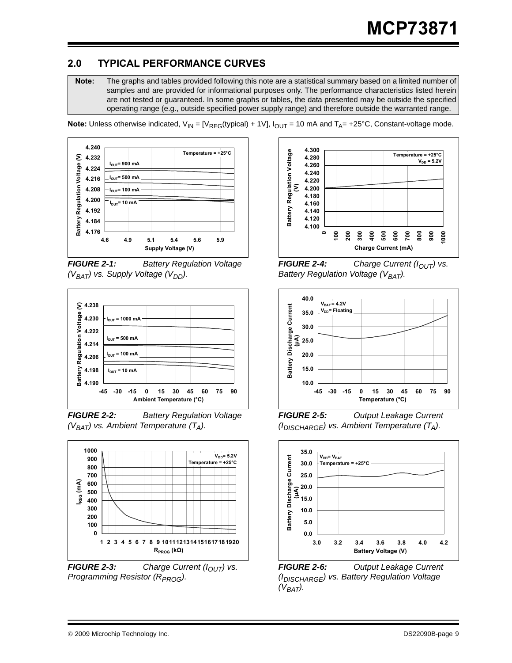# **2.0 TYPICAL PERFORMANCE CURVES**

**Note:** The graphs and tables provided following this note are a statistical summary based on a limited number of samples and are provided for informational purposes only. The performance characteristics listed herein are not tested or guaranteed. In some graphs or tables, the data presented may be outside the specified operating range (e.g., outside specified power supply range) and therefore outside the warranted range.

**Note:** Unless otherwise indicated,  $V_{IN} = [V_{REG}(typical) + 1V]$ ,  $I_{OUT} = 10$  mA and  $T_A = +25$ °C, Constant-voltage mode.



*FIGURE 2-1: Battery Regulation Voltage (V<sub>BAT</sub>)* vs. Supply Voltage (V<sub>DD</sub>).



*FIGURE 2-2: Battery Regulation Voltage*   $(V_{BAT})$  vs. Ambient Temperature  $(T_A)$ .



*FIGURE 2-3: Charge Current (I<sub>OUT</sub>) vs. Programming Resistor (R<sub>PROG</sub>).* 



*FIGURE 2-4: Charge Current (I<sub>OUT</sub>) vs. Battery Regulation Voltage (V<sub>BAT</sub>).* 



*FIGURE 2-5: Output Leakage Current (IDISCHARGE) vs. Ambient Temperature (TA).*



*FIGURE 2-6: Output Leakage Current (IDISCHARGE) vs. Battery Regulation Voltage*   $(V_{BAT})$ .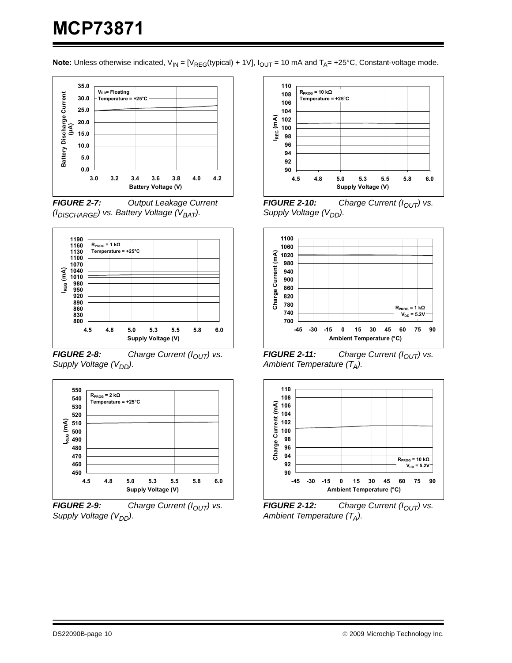# **MCP73871**

**Note:** Unless otherwise indicated,  $V_{\text{IN}} = [V_{\text{REG}}(\text{typical}) + 1V]$ ,  $I_{\text{OUT}} = 10 \text{ mA}$  and  $T_A = +25^{\circ}\text{C}$ , Constant-voltage mode.



*FIGURE 2-7: Output Leakage Current (I<sub>DISCHARGE</sub>)* vs. Battery Voltage (V<sub>BAT</sub>).



*FIGURE 2-8: Charge Current (I<sub>OUT</sub>) vs. Supply Voltage (V<sub>DD</sub>).* 



*FIGURE 2-9: Charge Current (I<sub>OUT</sub>) vs. Supply Voltage (V<sub>DD</sub>)*.



**FIGURE 2-10:** Charge Current ( $I_{OUT}$ ) vs. *Supply Voltage (V<sub>DD</sub>).* 



*FIGURE 2-11: Charge Current (I<sub>OUT</sub>) vs. Ambient Temperature (TA).*



**FIGURE 2-12:** Charge Current ( $I_{OUT}$ ) vs. *Ambient Temperature (TA).*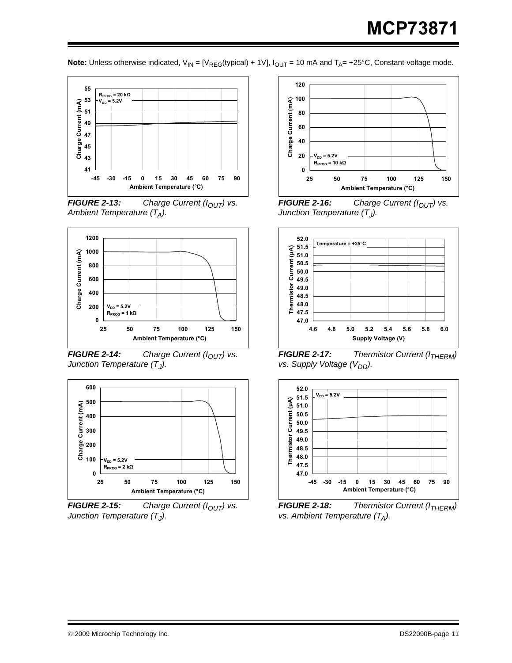**Note:** Unless otherwise indicated,  $V_{IN} = [V_{REG}(typical) + 1V]$ ,  $I_{OUT} = 10$  mA and  $T_A = +25^{\circ}C$ , Constant-voltage mode.



*FIGURE 2-13: Charge Current (I<sub>OUT</sub>) vs. Ambient Temperature (TA).*



*FIGURE 2-14: Charge Current (I<sub>OUT</sub>) vs. Junction Temperature (T<sub>J</sub>).* 



*FIGURE 2-15: Charge Current (I<sub>OUT</sub>) vs. Junction Temperature (T<sub>J</sub>).* 



*FIGURE 2-16: Charge Current (I<sub>OUT</sub>) vs. Junction Temperature (T<sub>J</sub>).* 



*FIGURE 2-17: Thermistor Current (ITHERM) vs. Supply Voltage (V<sub>DD</sub>).* 



**FIGURE 2-18:** *Thermistor Current (I<sub>THERM</sub>) vs. Ambient Temperature (T<sub>A</sub>).*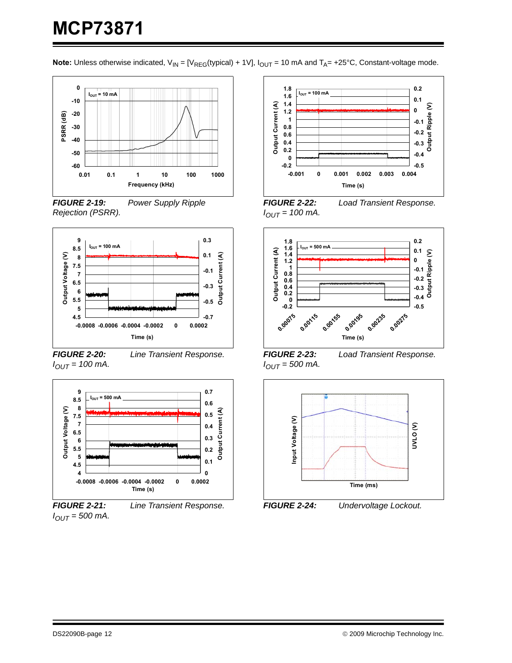# **MCP73871**

**Note:** Unless otherwise indicated,  $V_{IN} = [V_{REG}(typical) + 1V]$ ,  $I_{OUT} = 10$  mA and  $T_A = +25°C$ , Constant-voltage mode.







*FIGURE 2-20: Line Transient Response.*   $I_{OUT} = 100 \text{ mA}$ .



*FIGURE 2-21: Line Transient Response.*   $I_{OUT} = 500$  mA.



*FIGURE 2-22: Load Transient Response.*   $I_{OUT} = 100 \text{ mA}$ .



*FIGURE 2-23: Load Transient Response.*   $I_{OUT} = 500 \text{ mA}$ .



*FIGURE 2-24: Undervoltage Lockout.*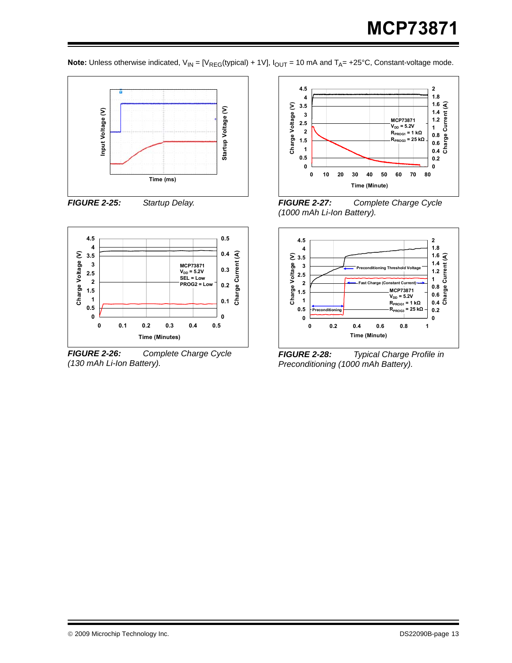**Note:** Unless otherwise indicated,  $V_{IN} = [V_{REG}(typical) + 1V]$ ,  $I_{OUT} = 10$  mA and  $T_A = +25$ °C, Constant-voltage mode.







*FIGURE 2-26: Complete Charge Cycle (130 mAh Li-Ion Battery).*



*FIGURE 2-27: Complete Charge Cycle (1000 mAh Li-Ion Battery).*



*FIGURE 2-28: Typical Charge Profile in Preconditioning (1000 mAh Battery).*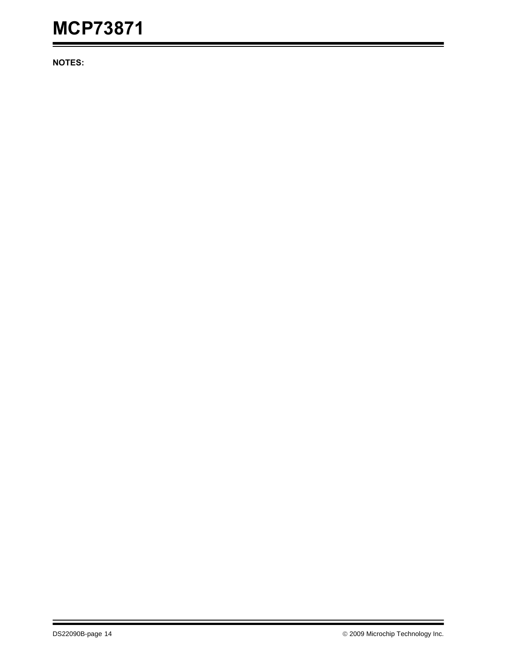**NOTES:**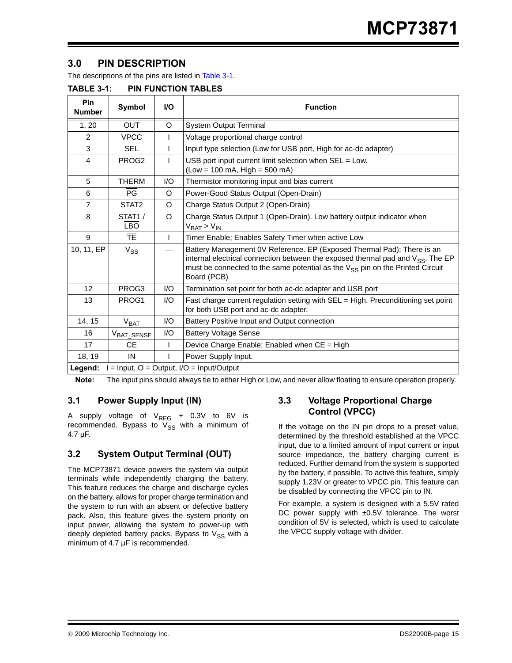# **3.0 PIN DESCRIPTION**

The descriptions of the pins are listed in [Table 3-1.](#page-14-0)

<span id="page-14-0"></span>

| <b>PIN FUNCTION TABLES</b><br><b>TABLE 3-1:</b> |  |
|-------------------------------------------------|--|
|-------------------------------------------------|--|

| Pin<br><b>Number</b> | Symbol                                      | $II$         | <b>Function</b>                                                                                                                                                                                                                                                     |  |  |  |
|----------------------|---------------------------------------------|--------------|---------------------------------------------------------------------------------------------------------------------------------------------------------------------------------------------------------------------------------------------------------------------|--|--|--|
| 1, 20                | <b>OUT</b>                                  | O            | <b>System Output Terminal</b>                                                                                                                                                                                                                                       |  |  |  |
| 2                    | <b>VPCC</b>                                 |              | Voltage proportional charge control                                                                                                                                                                                                                                 |  |  |  |
| 3                    | <b>SEL</b>                                  |              | Input type selection (Low for USB port, High for ac-dc adapter)                                                                                                                                                                                                     |  |  |  |
| 4                    | PROG <sub>2</sub>                           | L            | USB port input current limit selection when SEL = Low.<br>$(Low = 100 \text{ mA}, High = 500 \text{ mA})$                                                                                                                                                           |  |  |  |
| 5                    | THERM                                       | 1/O          | Thermistor monitoring input and bias current                                                                                                                                                                                                                        |  |  |  |
| 6                    | PG                                          | O            | Power-Good Status Output (Open-Drain)                                                                                                                                                                                                                               |  |  |  |
| $\overline{7}$       | STAT <sub>2</sub>                           | O            | Charge Status Output 2 (Open-Drain)                                                                                                                                                                                                                                 |  |  |  |
| 8                    | STAT1/<br><b>LBO</b>                        | O            | Charge Status Output 1 (Open-Drain). Low battery output indicator when<br>$V_{BAT}$ > $V_{IN}$                                                                                                                                                                      |  |  |  |
| 9                    | TE.                                         | $\mathsf{I}$ | Timer Enable; Enables Safety Timer when active Low                                                                                                                                                                                                                  |  |  |  |
| 10, 11, EP           | $V_{SS}$                                    |              | Battery Management OV Reference. EP (Exposed Thermal Pad); There is an<br>internal electrical connection between the exposed thermal pad and $V_{SS}$ . The EP<br>must be connected to the same potential as the $V_{SS}$ pin on the Printed Circuit<br>Board (PCB) |  |  |  |
| 12                   | PROG3                                       | 1/O          | Termination set point for both ac-dc adapter and USB port                                                                                                                                                                                                           |  |  |  |
| 13                   | PROG1                                       | 1/O          | Fast charge current requiation setting with $SEL = High$ . Preconditioning set point<br>for both USB port and ac-dc adapter.                                                                                                                                        |  |  |  |
| 14, 15               | V <sub>BAT</sub>                            | 1/O          | Battery Positive Input and Output connection                                                                                                                                                                                                                        |  |  |  |
| 16                   | VBAT_SENSE                                  | 1/O          | <b>Battery Voltage Sense</b>                                                                                                                                                                                                                                        |  |  |  |
| 17                   | <b>CE</b>                                   |              | Device Charge Enable; Enabled when CE = High                                                                                                                                                                                                                        |  |  |  |
| 18, 19               | IN                                          |              | Power Supply Input.                                                                                                                                                                                                                                                 |  |  |  |
| Legend:              | $I = Input, O = Output, I/O = Input/Output$ |              |                                                                                                                                                                                                                                                                     |  |  |  |

**Note:** The input pins should always tie to either High or Low, and never allow floating to ensure operation properly.

#### **3.1 Power Supply Input (IN)**

A supply voltage of  $V_{REG}$  + 0.3V to 6V is recommended. Bypass to  $V_{SS}$  with a minimum of 4.7 µF.

#### **3.2 System Output Terminal (OUT)**

The MCP73871 device powers the system via output terminals while independently charging the battery. This feature reduces the charge and discharge cycles on the battery, allows for proper charge termination and the system to run with an absent or defective battery pack. Also, this feature gives the system priority on input power, allowing the system to power-up with deeply depleted battery packs. Bypass to  $V_{SS}$  with a minimum of 4.7 µF is recommended.

#### **3.3 Voltage Proportional Charge Control (VPCC)**

If the voltage on the IN pin drops to a preset value, determined by the threshold established at the VPCC input, due to a limited amount of input current or input source impedance, the battery charging current is reduced. Further demand from the system is supported by the battery, if possible. To active this feature, simply supply 1.23V or greater to VPCC pin. This feature can be disabled by connecting the VPCC pin to IN.

For example, a system is designed with a 5.5V rated DC power supply with ±0.5V tolerance. The worst condition of 5V is selected, which is used to calculate the VPCC supply voltage with divider.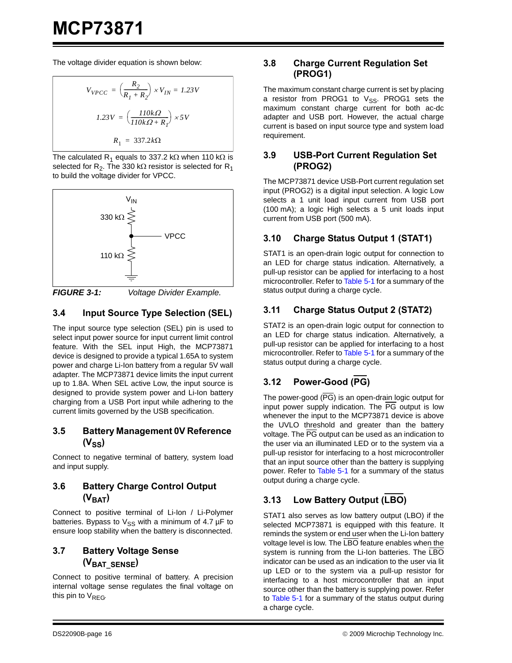The voltage divider equation is shown below:

$$
V_{VPCC} = \left(\frac{R_2}{R_1 + R_2}\right) \times V_{IN} = 1.23 \text{ V}
$$

$$
1.23 \text{ V} = \left(\frac{110 \text{ k}\Omega}{110 \text{ k}\Omega + R_1}\right) \times 5 \text{ V}
$$

$$
R_1 = 337.2 \text{ k}\Omega
$$

The calculated R<sub>1</sub> equals to 337.2 kΩ when 110 kΩ is selected for R<sub>2</sub>. The 330 kΩ resistor is selected for R<sub>1</sub> to build the voltage divider for VPCC.



*FIGURE 3-1: Voltage Divider Example.*

# **3.4 Input Source Type Selection (SEL)**

The input source type selection (SEL) pin is used to select input power source for input current limit control feature. With the SEL input High, the MCP73871 device is designed to provide a typical 1.65A to system power and charge Li-Ion battery from a regular 5V wall adapter. The MCP73871 device limits the input current up to 1.8A. When SEL active Low, the input source is designed to provide system power and Li-Ion battery charging from a USB Port input while adhering to the current limits governed by the USB specification.

# **3.5 Battery Management 0V Reference**   $(V_{SS})$

Connect to negative terminal of battery, system load and input supply.

# **3.6 Battery Charge Control Output**   $(V<sub>BAT</sub>)$

Connect to positive terminal of Li-Ion / Li-Polymer batteries. Bypass to  $V_{SS}$  with a minimum of 4.7  $\mu$ F to ensure loop stability when the battery is disconnected.

# **3.7 Battery Voltage Sense (VBAT\_SENSE)**

Connect to positive terminal of battery. A precision internal voltage sense regulates the final voltage on this pin to  $V_{REG}$ .

#### **3.8 Charge Current Regulation Set (PROG1)**

The maximum constant charge current is set by placing a resistor from PROG1 to  $V_{SS}$ . PROG1 sets the maximum constant charge current for both ac-dc adapter and USB port. However, the actual charge current is based on input source type and system load requirement.

#### **3.9 USB-Port Current Regulation Set (PROG2)**

The MCP73871 device USB-Port current regulation set input (PROG2) is a digital input selection. A logic Low selects a 1 unit load input current from USB port (100 mA); a logic High selects a 5 unit loads input current from USB port (500 mA).

# **3.10 Charge Status Output 1 (STAT1)**

STAT1 is an open-drain logic output for connection to an LED for charge status indication. Alternatively, a pull-up resistor can be applied for interfacing to a host microcontroller. Refer to [Table 5-1](#page-22-0) for a summary of the status output during a charge cycle.

# **3.11 Charge Status Output 2 (STAT2)**

STAT2 is an open-drain logic output for connection to an LED for charge status indication. Alternatively, a pull-up resistor can be applied for interfacing to a host microcontroller. Refer to [Table 5-1](#page-22-0) for a summary of the status output during a charge cycle.

# **3.12 Power-Good (PG)**

The power-good  $(\overline{PG})$  is an open-drain logic output for input power supply indication. The PG output is low whenever the input to the MCP73871 device is above the UVLO threshold and greater than the battery voltage. The PG output can be used as an indication to the user via an illuminated LED or to the system via a pull-up resistor for interfacing to a host microcontroller that an input source other than the battery is supplying power. Refer to [Table 5-1](#page-22-0) for a summary of the status output during a charge cycle.

# **3.13 Low Battery Output (LBO)**

STAT1 also serves as low battery output (LBO) if the selected MCP73871 is equipped with this feature. It reminds the system or end user when the Li-Ion battery voltage level is low. The LBO feature enables when the system is running from the Li-Ion batteries. The LBO indicator can be used as an indication to the user via lit up LED or to the system via a pull-up resistor for interfacing to a host microcontroller that an input source other than the battery is supplying power. Refer to [Table 5-1](#page-22-0) for a summary of the status output during a charge cycle.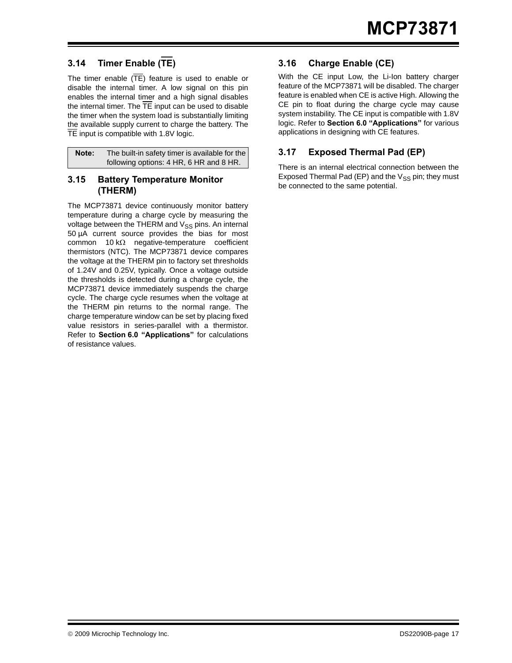# **3.14 Timer Enable (TE)**

The timer enable  $(\overline{TE})$  feature is used to enable or disable the internal timer. A low signal on this pin enables the internal timer and a high signal disables the internal timer. The  $\overline{TE}$  input can be used to disable the timer when the system load is substantially limiting the available supply current to charge the battery. The  $\overline{\text{TE}}$  input is compatible with 1.8V logic.

| Note: | The built-in safety timer is available for the |
|-------|------------------------------------------------|
|       | following options: 4 HR, 6 HR and 8 HR.        |

#### **3.15 Battery Temperature Monitor (THERM)**

The MCP73871 device continuously monitor battery temperature during a charge cycle by measuring the voltage between the THERM and  $V_{SS}$  pins. An internal 50 µA current source provides the bias for most common 10 kΩ negative-temperature coefficient thermistors (NTC). The MCP73871 device compares the voltage at the THERM pin to factory set thresholds of 1.24V and 0.25V, typically. Once a voltage outside the thresholds is detected during a charge cycle, the MCP73871 device immediately suspends the charge cycle. The charge cycle resumes when the voltage at the THERM pin returns to the normal range. The charge temperature window can be set by placing fixed value resistors in series-parallel with a thermistor. Refer to **[Section 6.0 "Applications"](#page-24-0)** for calculations of resistance values.

# **3.16 Charge Enable (CE)**

With the CE input Low, the Li-Ion battery charger feature of the MCP73871 will be disabled. The charger feature is enabled when CE is active High. Allowing the CE pin to float during the charge cycle may cause system instability. The CE input is compatible with 1.8V logic. Refer to **[Section 6.0 "Applications"](#page-24-0)** for various applications in designing with CE features.

# **3.17 Exposed Thermal Pad (EP)**

There is an internal electrical connection between the Exposed Thermal Pad (EP) and the  $V_{SS}$  pin; they must be connected to the same potential.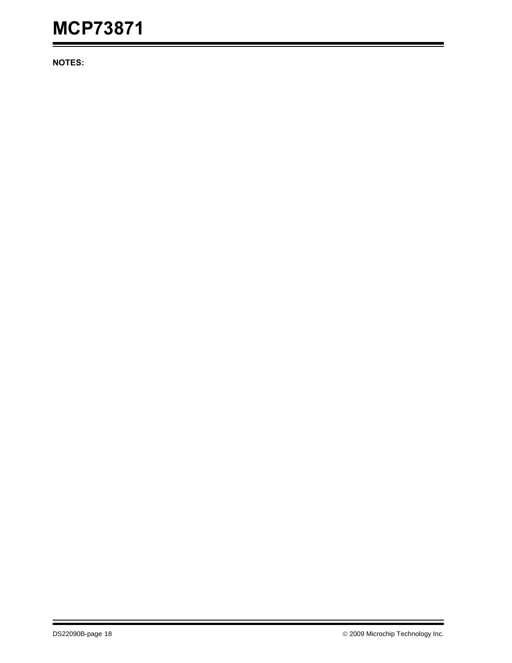**NOTES:**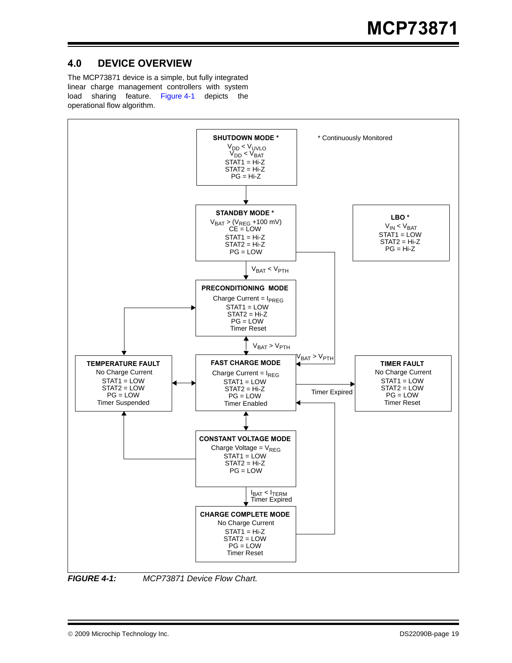# **4.0 DEVICE OVERVIEW**

The MCP73871 device is a simple, but fully integrated linear charge management controllers with system load sharing feature. [Figure 4-1](#page-18-0) depicts the operational flow algorithm.



<span id="page-18-0"></span>*FIGURE 4-1: MCP73871 Device Flow Chart.*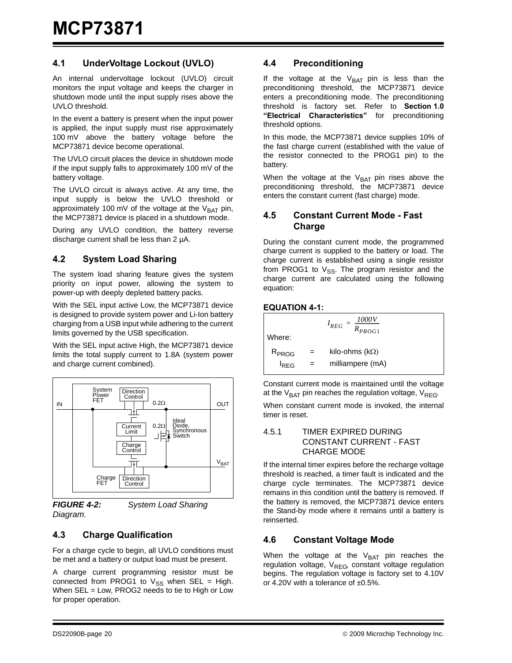#### **4.1 UnderVoltage Lockout (UVLO)**

An internal undervoltage lockout (UVLO) circuit monitors the input voltage and keeps the charger in shutdown mode until the input supply rises above the UVLO threshold.

In the event a battery is present when the input power is applied, the input supply must rise approximately 100 mV above the battery voltage before the MCP73871 device become operational.

The UVLO circuit places the device in shutdown mode if the input supply falls to approximately 100 mV of the battery voltage.

The UVLO circuit is always active. At any time, the input supply is below the UVLO threshold or approximately 100 mV of the voltage at the  $V_{BAT}$  pin, the MCP73871 device is placed in a shutdown mode.

During any UVLO condition, the battery reverse discharge current shall be less than 2  $\mu$ A.

#### **4.2 System Load Sharing**

The system load sharing feature gives the system priority on input power, allowing the system to power-up with deeply depleted battery packs.

With the SEL input active Low, the MCP73871 device is designed to provide system power and Li-Ion battery charging from a USB input while adhering to the current limits governed by the USB specification.

With the SEL input active High, the MCP73871 device limits the total supply current to 1.8A (system power and charge current combined).



| <b>FIGURE 4-2:</b> | <b>System Load Sharing</b> |
|--------------------|----------------------------|
| Diagram.           |                            |

#### **4.3 Charge Qualification**

For a charge cycle to begin, all UVLO conditions must be met and a battery or output load must be present.

A charge current programming resistor must be connected from PROG1 to  $V_{SS}$  when SEL = High. When SEL = Low, PROG2 needs to tie to High or Low for proper operation.

#### **4.4 Preconditioning**

If the voltage at the  $V_{BAT}$  pin is less than the preconditioning threshold, the MCP73871 device enters a preconditioning mode. The preconditioning threshold is factory set. Refer to **[Section 1.0](#page-4-0) ["Electrical Characteristics"](#page-4-0)** for preconditioning threshold options.

In this mode, the MCP73871 device supplies 10% of the fast charge current (established with the value of the resistor connected to the PROG1 pin) to the battery.

When the voltage at the  $V_{BAT}$  pin rises above the preconditioning threshold, the MCP73871 device enters the constant current (fast charge) mode.

#### **4.5 Constant Current Mode - Fast Charge**

During the constant current mode, the programmed charge current is supplied to the battery or load. The charge current is established using a single resistor from PROG1 to  $V_{SS}$ . The program resistor and the charge current are calculated using the following equation:

#### **EQUATION 4-1:**

<span id="page-19-0"></span>

| Where:     |     | <i>1000V</i><br>$I_{REG} = \frac{1}{R_{PROG1}}$ |
|------------|-----|-------------------------------------------------|
| $R_{PROG}$ | $=$ | kilo-ohms ( $k\Omega$ )                         |
| $I_{RFG}$  | $=$ | milliampere (mA)                                |

Constant current mode is maintained until the voltage at the  $V_{BAT}$  pin reaches the regulation voltage,  $V_{REG}$ .

When constant current mode is invoked, the internal timer is reset.

#### 4.5.1 TIMER EXPIRED DURING CONSTANT CURRENT - FAST CHARGE MODE

If the internal timer expires before the recharge voltage threshold is reached, a timer fault is indicated and the charge cycle terminates. The MCP73871 device remains in this condition until the battery is removed. If the battery is removed, the MCP73871 device enters the Stand-by mode where it remains until a battery is reinserted.

#### **4.6 Constant Voltage Mode**

When the voltage at the  $V_{BAT}$  pin reaches the regulation voltage,  $V_{REG}$  constant voltage regulation begins. The regulation voltage is factory set to 4.10V or 4.20V with a tolerance of  $\pm 0.5\%$ .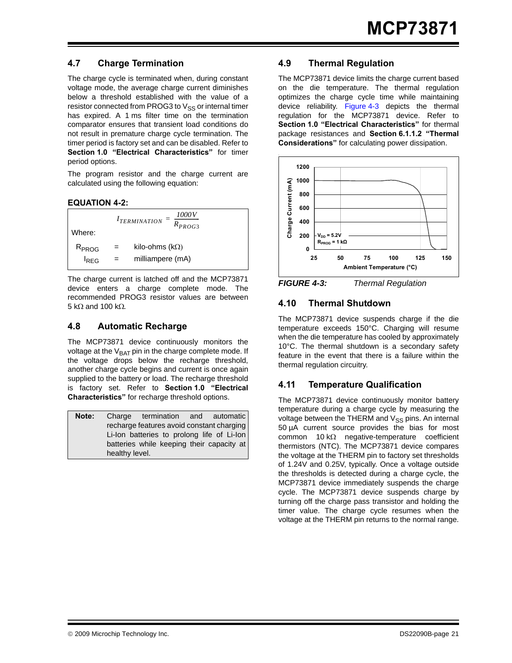#### <span id="page-20-1"></span>**4.7 Charge Termination**

The charge cycle is terminated when, during constant voltage mode, the average charge current diminishes below a threshold established with the value of a resistor connected from PROG3 to  $V_{SS}$  or internal timer has expired. A 1 ms filter time on the termination comparator ensures that transient load conditions do not result in premature charge cycle termination. The timer period is factory set and can be disabled. Refer to **[Section 1.0 "Electrical Characteristics"](#page-4-0)** for timer period options.

The program resistor and the charge current are calculated using the following equation:

#### <span id="page-20-2"></span>**EQUATION 4-2:**

| Where:                         | 1000 V<br>$I_{TERMINATION}$ =<br>$R_{PROG3}$ |
|--------------------------------|----------------------------------------------|
| R <sub>PROG</sub><br>$I_{RFG}$ | kilo-ohms ( $k\Omega$ )<br>milliampere (mA)  |

The charge current is latched off and the MCP73871 device enters a charge complete mode. The recommended PROG3 resistor values are between 5 kΩ and 100 kΩ.

#### **4.8 Automatic Recharge**

The MCP73871 device continuously monitors the voltage at the  $V<sub>BAT</sub>$  pin in the charge complete mode. If the voltage drops below the recharge threshold, another charge cycle begins and current is once again supplied to the battery or load. The recharge threshold is factory set. Refer to **[Section 1.0 "Electrical](#page-4-0) [Characteristics"](#page-4-0)** for recharge threshold options.

| Note: |                | Charge termination and automatic           |  |
|-------|----------------|--------------------------------------------|--|
|       |                | recharge features avoid constant charging  |  |
|       |                | Li-Ion batteries to prolong life of Li-Ion |  |
|       |                | batteries while keeping their capacity at  |  |
|       | healthy level. |                                            |  |

#### **4.9 Thermal Regulation**

The MCP73871 device limits the charge current based on the die temperature. The thermal regulation optimizes the charge cycle time while maintaining device reliability. [Figure 4-3](#page-20-0) depicts the thermal regulation for the MCP73871 device. Refer to **[Section 1.0 "Electrical Characteristics"](#page-4-0)** for thermal package resistances and **[Section 6.1.1.2 "Thermal](#page-25-0) [Considerations"](#page-25-0)** for calculating power dissipation.



<span id="page-20-0"></span>*FIGURE 4-3: Thermal Regulation*

#### **4.10 Thermal Shutdown**

The MCP73871 device suspends charge if the die temperature exceeds 150°C. Charging will resume when the die temperature has cooled by approximately 10°C. The thermal shutdown is a secondary safety feature in the event that there is a failure within the thermal regulation circuitry.

#### **4.11 Temperature Qualification**

The MCP73871 device continuously monitor battery temperature during a charge cycle by measuring the voltage between the THERM and  $V_{SS}$  pins. An internal 50 µA current source provides the bias for most common 10 kΩ negative-temperature coefficient thermistors (NTC). The MCP73871 device compares the voltage at the THERM pin to factory set thresholds of 1.24V and 0.25V, typically. Once a voltage outside the thresholds is detected during a charge cycle, the MCP73871 device immediately suspends the charge cycle. The MCP73871 device suspends charge by turning off the charge pass transistor and holding the timer value. The charge cycle resumes when the voltage at the THERM pin returns to the normal range.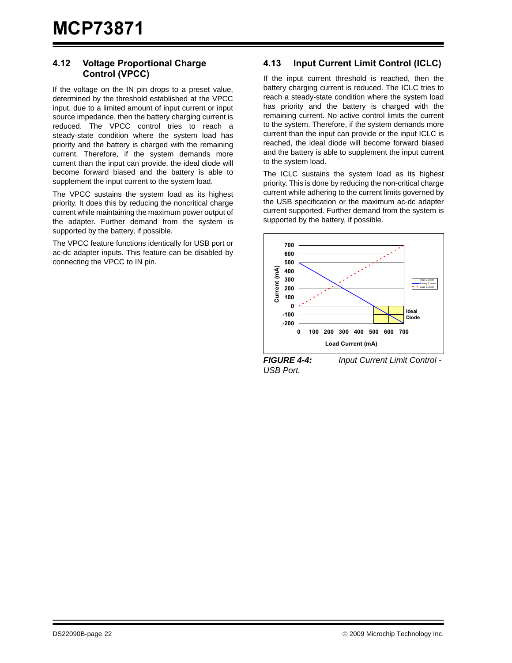#### **4.12 Voltage Proportional Charge Control (VPCC)**

If the voltage on the IN pin drops to a preset value, determined by the threshold established at the VPCC input, due to a limited amount of input current or input source impedance, then the battery charging current is reduced. The VPCC control tries to reach a steady-state condition where the system load has priority and the battery is charged with the remaining current. Therefore, if the system demands more current than the input can provide, the ideal diode will become forward biased and the battery is able to supplement the input current to the system load.

The VPCC sustains the system load as its highest priority. It does this by reducing the noncritical charge current while maintaining the maximum power output of the adapter. Further demand from the system is supported by the battery, if possible.

The VPCC feature functions identically for USB port or ac-dc adapter inputs. This feature can be disabled by connecting the VPCC to IN pin.

#### **4.13 Input Current Limit Control (ICLC)**

If the input current threshold is reached, then the battery charging current is reduced. The ICLC tries to reach a steady-state condition where the system load has priority and the battery is charged with the remaining current. No active control limits the current to the system. Therefore, if the system demands more current than the input can provide or the input ICLC is reached, the ideal diode will become forward biased and the battery is able to supplement the input current to the system load.

The ICLC sustains the system load as its highest priority. This is done by reducing the non-critical charge current while adhering to the current limits governed by the USB specification or the maximum ac-dc adapter current supported. Further demand from the system is supported by the battery, if possible.



*FIGURE 4-4: Input Current Limit Control - USB Port.*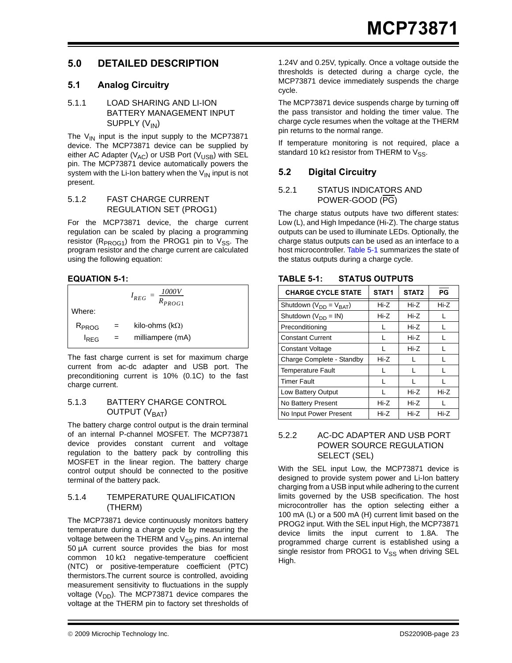#### **5.0 DETAILED DESCRIPTION**

#### **5.1 Analog Circuitry**

#### 5.1.1 LOAD SHARING AND LI-ION BATTERY MANAGEMENT INPUT SUPPLY (V<sub>IN</sub>)

The  $V_{IN}$  input is the input supply to the MCP73871 device. The MCP73871 device can be supplied by either AC Adapter ( $V_{AC}$ ) or USB Port ( $V_{USB}$ ) with SEL pin. The MCP73871 device automatically powers the system with the Li-Ion battery when the  $V_{IN}$  input is not present.

#### 5.1.2 FAST CHARGE CURRENT REGULATION SET (PROG1)

For the MCP73871 device, the charge current regulation can be scaled by placing a programming resistor (R<sub>PROG1</sub>) from the PROG1 pin to V<sub>SS</sub>. The program resistor and the charge current are calculated using the following equation:

#### <span id="page-22-1"></span>**EQUATION 5-1:**

| Where:            | <i>1000V</i><br>$I_{REG} = \frac{1}{R_{PROG1}}$ |
|-------------------|-------------------------------------------------|
| R <sub>PROG</sub> | kilo-ohms ( $k\Omega$ )                         |
| <b>I</b> REG      | milliampere (mA)                                |

The fast charge current is set for maximum charge current from ac-dc adapter and USB port. The preconditioning current is 10% (0.1C) to the fast charge current.

#### 5.1.3 BATTERY CHARGE CONTROL OUTPUT (V<sub>BAT</sub>)

The battery charge control output is the drain terminal of an internal P-channel MOSFET. The MCP73871 device provides constant current and voltage regulation to the battery pack by controlling this MOSFET in the linear region. The battery charge control output should be connected to the positive terminal of the battery pack.

#### 5.1.4 TEMPERATURE QUALIFICATION (THERM)

The MCP73871 device continuously monitors battery temperature during a charge cycle by measuring the voltage between the THERM and  $V_{SS}$  pins. An internal 50 µA current source provides the bias for most common 10 kΩ negative-temperature coefficient (NTC) or positive-temperature coefficient (PTC) thermistors.The current source is controlled, avoiding measurement sensitivity to fluctuations in the supply voltage  $(V_{DD})$ . The MCP73871 device compares the voltage at the THERM pin to factory set thresholds of

1.24V and 0.25V, typically. Once a voltage outside the thresholds is detected during a charge cycle, the MCP73871 device immediately suspends the charge cycle.

The MCP73871 device suspends charge by turning off the pass transistor and holding the timer value. The charge cycle resumes when the voltage at the THERM pin returns to the normal range.

If temperature monitoring is not required, place a standard 10 k $\Omega$  resistor from THERM to V<sub>SS</sub>.

# **5.2 Digital Circuitry**

#### 5.2.1 STATUS INDICATORS AND POWER-GOOD (PG)

The charge status outputs have two different states: Low (L), and High Impedance (Hi-Z). The charge status outputs can be used to illuminate LEDs. Optionally, the charge status outputs can be used as an interface to a host microcontroller. [Table 5-1](#page-22-0) summarizes the state of the status outputs during a charge cycle.

| <b>CHARGE CYCLE STATE</b>     | STAT <sub>1</sub> | STAT <sub>2</sub> | PG     |
|-------------------------------|-------------------|-------------------|--------|
| Shutdown $(V_{DD} = V_{BAT})$ | $Hi-Z$            | Hi-Z              | Hi-Z   |
| Shutdown $(V_{DD} = IN)$      | Hi-Z              | Hi-Z              |        |
| Preconditioning               | L                 | Hi-Z              | L      |
| <b>Constant Current</b>       | L                 | Hi-Z              | L      |
| <b>Constant Voltage</b>       | L                 | Hi-Z              | L      |
| Charge Complete - Standby     | Hi-Z              | L                 | L      |
| <b>Temperature Fault</b>      |                   | L                 | L      |
| <b>Timer Fault</b>            | L                 | L                 | L      |
| Low Battery Output            | L                 | Hi-Z              | Hi-Z   |
| No Battery Present            | Hi-Z              | $Hi-Z$            |        |
| No Input Power Present        | Hi-Z              | $Hi-Z$            | $Hi-Z$ |

#### <span id="page-22-0"></span>**TABLE 5-1: STATUS OUTPUTS**

#### 5.2.2 AC-DC ADAPTER AND USB PORT POWER SOURCE REGULATION SELECT (SEL)

With the SEL input Low, the MCP73871 device is designed to provide system power and Li-Ion battery charging from a USB input while adhering to the current limits governed by the USB specification. The host microcontroller has the option selecting either a 100 mA (L) or a 500 mA (H) current limit based on the PROG2 input. With the SEL input High, the MCP73871 device limits the input current to 1.8A. The programmed charge current is established using a single resistor from PROG1 to  $V_{SS}$  when driving SEL High.

© 2009 Microchip Technology Inc. DS22090B-page 23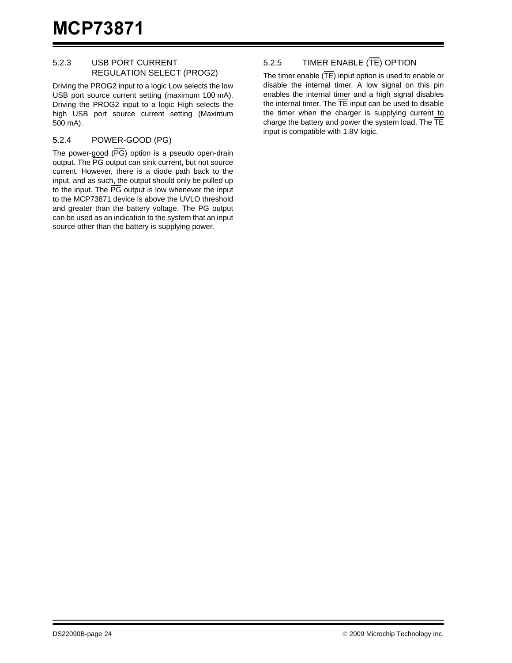#### 5.2.3 USB PORT CURRENT REGULATION SELECT (PROG2)

Driving the PROG2 input to a logic Low selects the low USB port source current setting (maximum 100 mA). Driving the PROG2 input to a logic High selects the high USB port source current setting (Maximum 500 mA).

#### 5.2.4 POWER-GOOD (PG)

The power-good (PG) option is a pseudo open-drain output. The PG output can sink current, but not source current. However, there is a diode path back to the input, and as such, the output should only be pulled up to the input. The  $\overline{PG}$  output is low whenever the input to the MCP73871 device is above the UVLO threshold and greater than the battery voltage. The PG output can be used as an indication to the system that an input source other than the battery is supplying power.

## 5.2.5 TIMER ENABLE (TE) OPTION

The timer enable  $(\overline{TE})$  input option is used to enable or disable the internal timer. A low signal on this pin enables the internal timer and a high signal disables the internal timer. The  $\overline{TE}$  input can be used to disable the timer when the charger is supplying current to charge the battery and power the system load. The  $\overline{TE}$ input is compatible with 1.8V logic.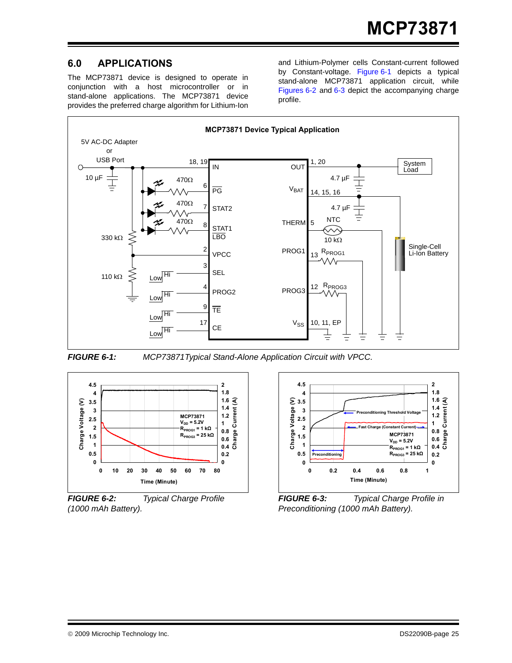# <span id="page-24-0"></span>**6.0 APPLICATIONS**

The MCP73871 device is designed to operate in conjunction with a host microcontroller or in stand-alone applications. The MCP73871 device provides the preferred charge algorithm for Lithium-Ion and Lithium-Polymer cells Constant-current followed by Constant-voltage. [Figure 6-1](#page-24-1) depicts a typical stand-alone MCP73871 application circuit, while Figures [6-2](#page-24-2) and [6-3](#page-24-3) depict the accompanying charge profile.



<span id="page-24-1"></span>*FIGURE 6-1: MCP73871Typical Stand-Alone Application Circuit with VPCC.*



<span id="page-24-2"></span>*FIGURE 6-2: Typical Charge Profile (1000 mAh Battery).*



<span id="page-24-3"></span>*FIGURE 6-3: Typical Charge Profile in Preconditioning (1000 mAh Battery).*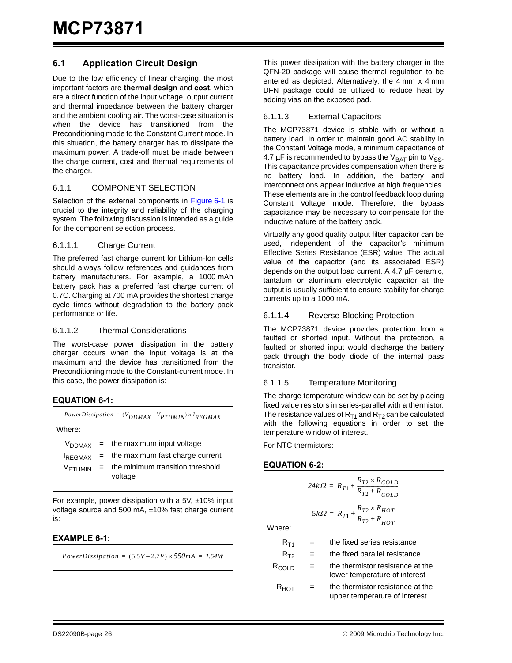#### **6.1 Application Circuit Design**

Due to the low efficiency of linear charging, the most important factors are **thermal design** and **cost**, which are a direct function of the input voltage, output current and thermal impedance between the battery charger and the ambient cooling air. The worst-case situation is when the device has transitioned from the Preconditioning mode to the Constant Current mode. In this situation, the battery charger has to dissipate the maximum power. A trade-off must be made between the charge current, cost and thermal requirements of the charger.

#### 6.1.1 COMPONENT SELECTION

Selection of the external components in [Figure 6-1](#page-24-1) is crucial to the integrity and reliability of the charging system. The following discussion is intended as a guide for the component selection process.

#### 6.1.1.1 Charge Current

The preferred fast charge current for Lithium-Ion cells should always follow references and guidances from battery manufacturers. For example, a 1000 mAh battery pack has a preferred fast charge current of 0.7C. Charging at 700 mA provides the shortest charge cycle times without degradation to the battery pack performance or life.

#### <span id="page-25-0"></span>6.1.1.2 Thermal Considerations

The worst-case power dissipation in the battery charger occurs when the input voltage is at the maximum and the device has transitioned from the Preconditioning mode to the Constant-current mode. In this case, the power dissipation is:

#### **EQUATION 6-1:**

 $PowerDissipation = (V_{DDMAX} - V_{PTHMIN}) \times I_{REGMAX}$ 

Where:

|                     | $V_{DDMAX}$ = the maximum input voltage        |
|---------------------|------------------------------------------------|
|                     | $I_{REGMAX}$ = the maximum fast charge current |
| V <sub>PTHMIN</sub> | $=$ the minimum transition threshold           |
|                     | voltage                                        |

For example, power dissipation with a 5V,  $\pm$ 10% input voltage source and 500 mA, ±10% fast charge current is:

#### **EXAMPLE 6-1:**

 $PowerDissipation = (5.5V - 2.7V) \times 550mA = 1.54W$ 

This power dissipation with the battery charger in the QFN-20 package will cause thermal regulation to be entered as depicted. Alternatively, the 4 mm x 4 mm DFN package could be utilized to reduce heat by adding vias on the exposed pad.

#### 6.1.1.3 External Capacitors

The MCP73871 device is stable with or without a battery load. In order to maintain good AC stability in the Constant Voltage mode, a minimum capacitance of 4.7  $\mu$ F is recommended to bypass the V<sub>BAT</sub> pin to V<sub>SS</sub>. This capacitance provides compensation when there is no battery load. In addition, the battery and interconnections appear inductive at high frequencies. These elements are in the control feedback loop during Constant Voltage mode. Therefore, the bypass capacitance may be necessary to compensate for the inductive nature of the battery pack.

Virtually any good quality output filter capacitor can be used, independent of the capacitor's minimum Effective Series Resistance (ESR) value. The actual value of the capacitor (and its associated ESR) depends on the output load current. A 4.7 µF ceramic, tantalum or aluminum electrolytic capacitor at the output is usually sufficient to ensure stability for charge currents up to a 1000 mA.

#### 6.1.1.4 Reverse-Blocking Protection

The MCP73871 device provides protection from a faulted or shorted input. Without the protection, a faulted or shorted input would discharge the battery pack through the body diode of the internal pass transistor.

#### 6.1.1.5 Temperature Monitoring

The charge temperature window can be set by placing fixed value resistors in series-parallel with a thermistor. The resistance values of  $R_{T1}$  and  $R_{T2}$  can be calculated with the following equations in order to set the temperature window of interest.

For NTC thermistors:

#### **EQUATION 6-2:**

$$
24k\Omega = R_{T1} + \frac{R_{T2} \times R_{COLD}}{R_{T2} + R_{COLD}}
$$

$$
5k\Omega = R_{T1} + \frac{R_{T2} \times R_{HOT}}{R_{T2} + R_{HOT}}
$$

Where:

| $R_{T1}$           | the fixed series resistance                                       |
|--------------------|-------------------------------------------------------------------|
| $R_{T2}$           | the fixed parallel resistance                                     |
| R <sub>COLD</sub>  | the thermistor resistance at the<br>lower temperature of interest |
| $R_{\mathsf{HOT}}$ | the thermistor resistance at the<br>upper temperature of interest |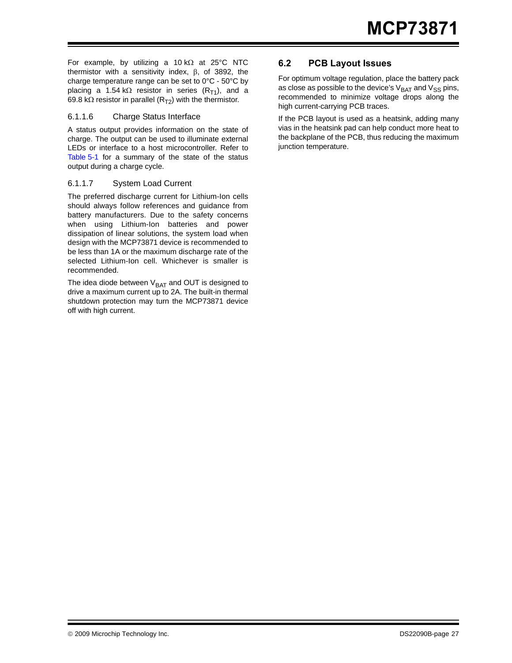For example, by utilizing a 10 kΩ at 25°C NTC thermistor with a sensitivity index,  $β$ , of 3892, the charge temperature range can be set to 0°C - 50°C by placing a 1.54 kΩ resistor in series (R<sub>T1</sub>), and a 69.8 kΩ resistor in parallel ( $R<sub>T2</sub>$ ) with the thermistor.

#### 6.1.1.6 Charge Status Interface

A status output provides information on the state of charge. The output can be used to illuminate external LEDs or interface to a host microcontroller. Refer to [Table 5-1](#page-22-0) for a summary of the state of the status output during a charge cycle.

#### 6.1.1.7 System Load Current

The preferred discharge current for Lithium-Ion cells should always follow references and guidance from battery manufacturers. Due to the safety concerns when using Lithium-Ion batteries and power dissipation of linear solutions, the system load when design with the MCP73871 device is recommended to be less than 1A or the maximum discharge rate of the selected Lithium-Ion cell. Whichever is smaller is recommended.

The idea diode between  $V_{BAT}$  and OUT is designed to drive a maximum current up to 2A. The built-in thermal shutdown protection may turn the MCP73871 device off with high current.

#### **6.2 PCB Layout Issues**

For optimum voltage regulation, place the battery pack as close as possible to the device's  $V_{\text{BAT}}$  and  $V_{\text{SS}}$  pins, recommended to minimize voltage drops along the high current-carrying PCB traces.

If the PCB layout is used as a heatsink, adding many vias in the heatsink pad can help conduct more heat to the backplane of the PCB, thus reducing the maximum junction temperature.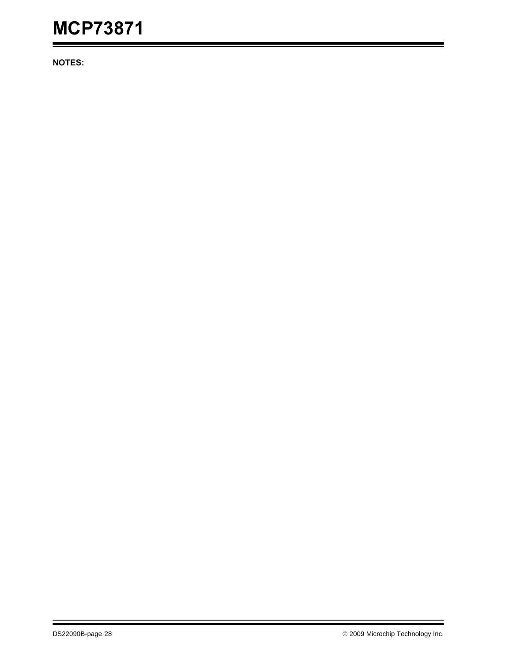**NOTES:**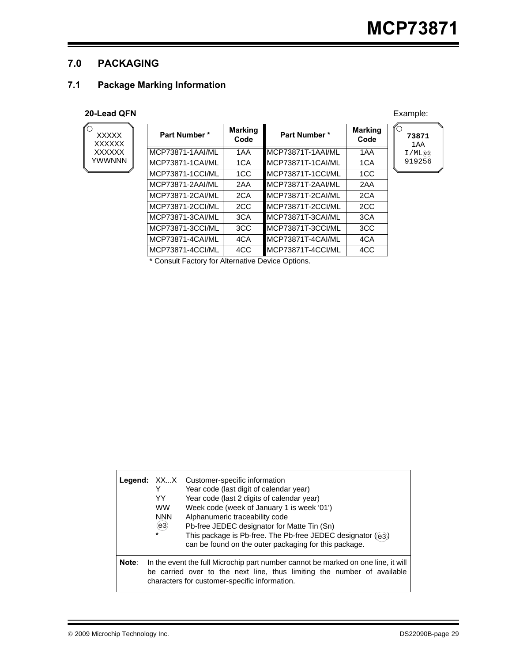# **7.0 PACKAGING**

# **7.1 Package Marking Information**

#### **20-Lead QFN** Example:



| Part Number*     | <b>Marking</b><br>Code | Part Number*      | <b>Marking</b><br>Code | 73871<br>1AA |
|------------------|------------------------|-------------------|------------------------|--------------|
| MCP73871-1AAI/ML | 1AA                    | MCP73871T-1AAI/ML | 1AA                    | I/ML(e3)     |
| MCP73871-1CAI/ML | 1CA                    | MCP73871T-1CAI/ML | 1CA                    | 919256       |
| MCP73871-1CCI/ML | 1CC                    | MCP73871T-1CCI/ML | 1CC                    |              |
| MCP73871-2AAI/ML | 2AA                    | MCP73871T-2AAI/ML | 2AA                    |              |
| MCP73871-2CAI/ML | 2CA                    | MCP73871T-2CAI/ML | 2CA                    |              |
| MCP73871-2CCI/ML | 2CC                    | MCP73871T-2CCI/ML | 2CC                    |              |
| MCP73871-3CAI/ML | 3CA                    | MCP73871T-3CAI/ML | 3CA                    |              |
| MCP73871-3CCI/ML | 3CC                    | MCP73871T-3CCI/ML | 3CC                    |              |
| MCP73871-4CAI/ML | 4CA                    | MCP73871T-4CAI/ML | 4CA                    |              |
| MCP73871-4CCI/ML | 4CC                    | MCP73871T-4CCI/ML | 4CC                    |              |

\* Consult Factory for Alternative Device Options.

|       | YY<br><b>WW</b><br><b>NNN</b><br>(e3)<br>$\star$ | <b>Legend:</b> XXX Customer-specific information<br>Year code (last digit of calendar year)<br>Year code (last 2 digits of calendar year)<br>Week code (week of January 1 is week '01')<br>Alphanumeric traceability code<br>Pb-free JEDEC designator for Matte Tin (Sn)<br>This package is Pb-free. The Pb-free JEDEC designator ((e3))<br>can be found on the outer packaging for this package. |
|-------|--------------------------------------------------|---------------------------------------------------------------------------------------------------------------------------------------------------------------------------------------------------------------------------------------------------------------------------------------------------------------------------------------------------------------------------------------------------|
| Note: |                                                  | In the event the full Microchip part number cannot be marked on one line, it will<br>be carried over to the next line, thus limiting the number of available<br>characters for customer-specific information.                                                                                                                                                                                     |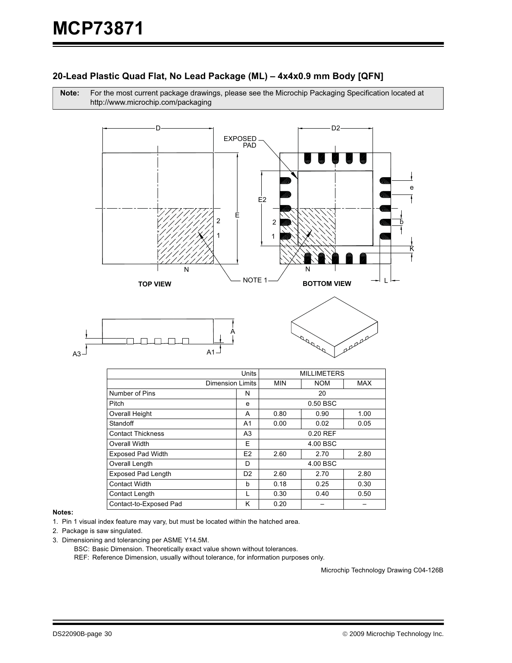#### 20-Lead Plastic Quad Flat. No Lead Package (ML) – 4x4x0.9 mm Body [QFN]

Note: r the most current package drawings, please see the Microchip Packaging Specification located at http://www.microchip.com/packaging



|                           | Units          | <b>MILLIMETERS</b> |            |            |
|---------------------------|----------------|--------------------|------------|------------|
| <b>Dimension Limits</b>   |                | <b>MIN</b>         | <b>NOM</b> | <b>MAX</b> |
| Number of Pins            | N              |                    | 20         |            |
| Pitch                     | e              |                    | 0.50 BSC   |            |
| <b>Overall Height</b>     | A              | 0.80               | 0.90       | 1.00       |
| Standoff                  | A1             | 0.00               | 0.02       | 0.05       |
| <b>Contact Thickness</b>  | A <sub>3</sub> |                    | 0.20 REF   |            |
| Overall Width             | Ε              |                    | 4.00 BSC   |            |
| <b>Exposed Pad Width</b>  | E <sub>2</sub> | 2.60               | 2.70       | 2.80       |
| Overall Length            | D              |                    | 4.00 BSC   |            |
| <b>Exposed Pad Length</b> | D <sub>2</sub> | 2.60               | 2.70       | 2.80       |
| <b>Contact Width</b>      | h              | 0.18               | 0.25       | 0.30       |
| Contact Length            | L              | 0.30               | 0.40       | 0.50       |
| Contact-to-Exposed Pad    | κ              | 0.20               |            |            |

#### Notes:

1. Pin 1 visual index feature may vary, but must be located within the hatched area.

- 2. Package is saw singulated.
- 3. Dimensioning and tolerancing per ASME Y14.5M.

BSC: Basic Dimension. Theoretically exact value shown without tolerances.

REF: Reference Dimension, usually without tolerance, for information purposes only.

Microchip Technology Drawing C04-126B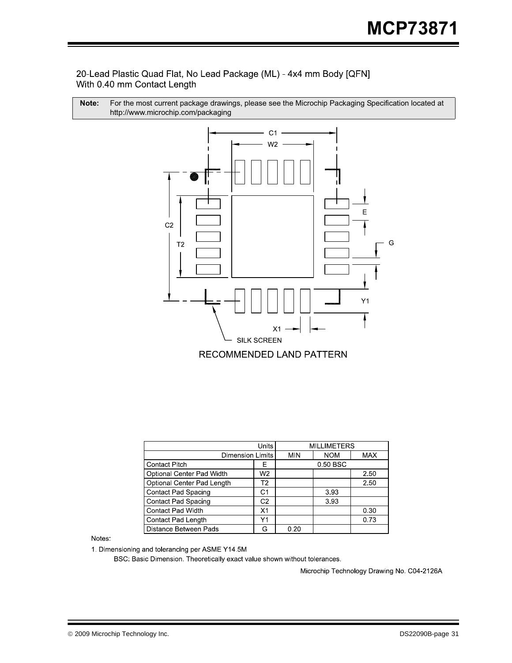20-Lead Plastic Quad Flat, No Lead Package (ML) - 4x4 mm Body [QFN] With 0.40 mm Contact Length



|                                 | <b>MILLIMETERS</b> |            |      |      |
|---------------------------------|--------------------|------------|------|------|
| <b>Dimension Limits</b>         | <b>MIN</b>         | <b>NOM</b> | MAX  |      |
| <b>Contact Pitch</b>            | Е                  | 0.50 BSC   |      |      |
| Optional Center Pad Width       | W2                 |            |      | 2.50 |
| Optional Center Pad Length      | Т2                 |            |      | 2.50 |
| <b>Contact Pad Spacing</b>      | C1                 |            | 3.93 |      |
| <b>Contact Pad Spacing</b>      | C <sub>2</sub>     |            | 393  |      |
| <b>Contact Pad Width</b>        | X1                 |            |      | 0.30 |
| <b>Contact Pad Length</b><br>Υ1 |                    |            |      | 0.73 |
| Distance Between Pads           | G                  | 0.20       |      |      |

Notes:

1. Dimensioning and tolerancing per ASME Y14.5M

BSC: Basic Dimension. Theoretically exact value shown without tolerances.

Microchip Technology Drawing No. C04-2126A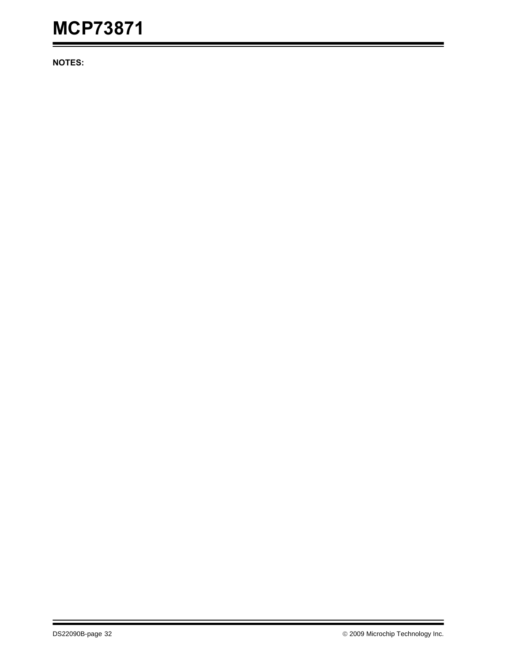**NOTES:**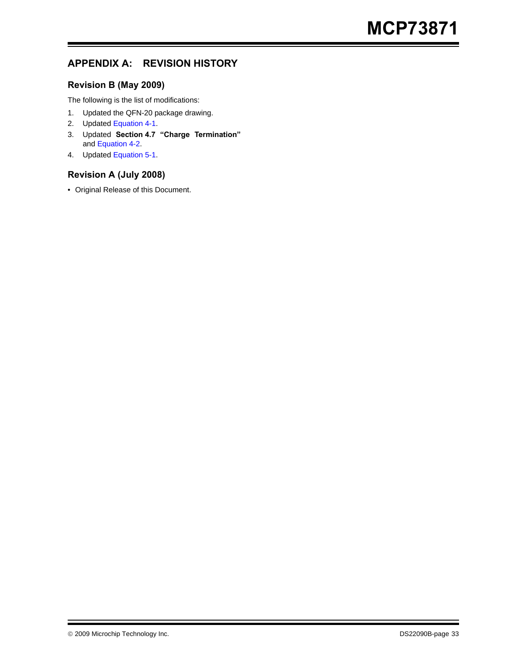# **APPENDIX A: REVISION HISTORY**

#### **Revision B (May 2009)**

The following is the list of modifications:

- 1. Updated the QFN-20 package drawing.
- 2. Updated [Equation 4-1](#page-19-0).
- 3. Updated **[Section 4.7 "Charge Termination"](#page-20-1)** and [Equation 4-2](#page-20-2).
- 4. Updated [Equation 5-1](#page-22-1).

#### **Revision A (July 2008)**

• Original Release of this Document.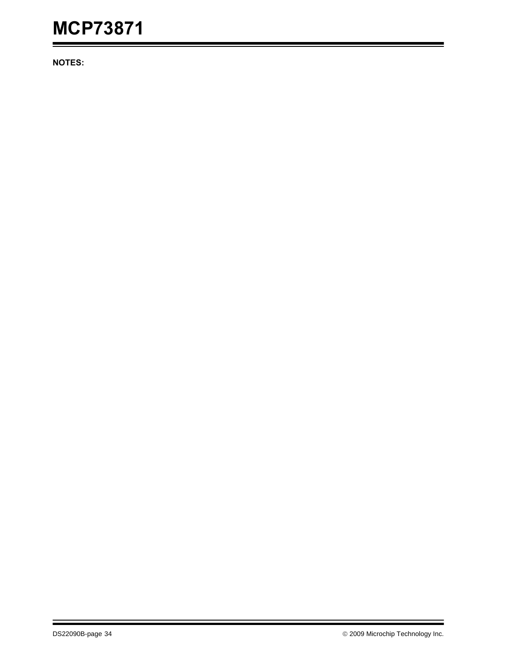**NOTES:**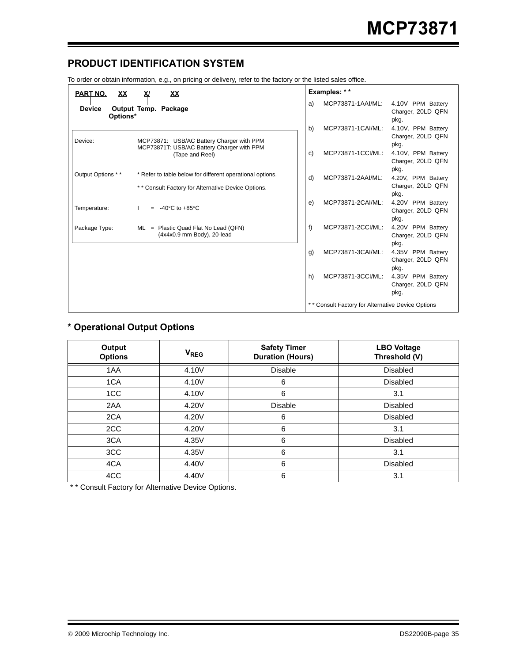# <span id="page-34-0"></span>**PRODUCT IDENTIFICATION SYSTEM**

To order or obtain information, e.g., on pricing or delivery, refer to the factory or the listed sales office.

| <b>PART NO.</b><br>xх<br><u>X/</u> |                                                                                                                 |    | Examples: * *                                     |                                                 |  |
|------------------------------------|-----------------------------------------------------------------------------------------------------------------|----|---------------------------------------------------|-------------------------------------------------|--|
| <b>Device</b><br>Options*          | Output Temp. Package                                                                                            | a) | MCP73871-1AAI/ML:                                 | 4.10V PPM Battery<br>Charger, 20LD QFN<br>pkg.  |  |
| Device:                            | MCP73871: USB/AC Battery Charger with PPM                                                                       | b) | MCP73871-1CAI/ML:                                 | 4.10V, PPM Battery<br>Charger, 20LD QFN<br>pkg. |  |
|                                    | MCP73871T: USB/AC Battery Charger with PPM<br>(Tape and Reel)                                                   | c) | MCP73871-1CCI/ML:                                 | 4.10V, PPM Battery<br>Charger, 20LD QFN<br>pkg. |  |
| Output Options * *                 | * Refer to table below for different operational options.<br>** Consult Factory for Alternative Device Options. | d) | MCP73871-2AAI/ML:                                 | 4.20V, PPM Battery<br>Charger, 20LD QFN<br>pkg. |  |
| Temperature:                       | $= -40^{\circ}$ C to +85 $^{\circ}$ C                                                                           | e) | MCP73871-2CAI/ML:                                 | 4.20V PPM Battery<br>Charger, 20LD QFN<br>pkg.  |  |
| Package Type:                      | $ML$ = Plastic Quad Flat No Lead (QFN)<br>(4x4x0.9 mm Body), 20-lead                                            | f  | MCP73871-2CCI/ML:                                 | 4.20V PPM Battery<br>Charger, 20LD QFN<br>pkg.  |  |
|                                    |                                                                                                                 | g) | MCP73871-3CAI/ML:                                 | 4.35V PPM Battery<br>Charger, 20LD QFN<br>pkg.  |  |
|                                    |                                                                                                                 | h) | MCP73871-3CCI/ML:                                 | 4.35V PPM Battery<br>Charger, 20LD QFN<br>pkg.  |  |
|                                    |                                                                                                                 |    | ** Consult Factory for Alternative Device Options |                                                 |  |

# **\* Operational Output Options**

| Output<br><b>Options</b> | <b>V<sub>REG</sub></b> | <b>Safety Timer</b><br><b>Duration (Hours)</b> | <b>LBO Voltage</b><br>Threshold (V) |
|--------------------------|------------------------|------------------------------------------------|-------------------------------------|
| 1AA                      | 4.10V                  | <b>Disable</b>                                 | <b>Disabled</b>                     |
| 1CA                      | 4.10V                  | 6                                              | Disabled                            |
| 1CC                      | 4.10V                  | 6                                              | 3.1                                 |
| 2AA                      | 4.20V                  | <b>Disable</b>                                 | <b>Disabled</b>                     |
| 2CA                      | 4.20V                  | 6                                              | <b>Disabled</b>                     |
| 2CC                      | 4.20V                  | 6                                              | 3.1                                 |
| 3CA                      | 4.35V                  | 6                                              | Disabled                            |
| 3CC                      | 4.35V                  | 6                                              | 3.1                                 |
| 4CA                      | 4.40V                  | 6                                              | <b>Disabled</b>                     |
| 4CC                      | 4.40V                  | 6                                              | 3.1                                 |

\* \* Consult Factory for Alternative Device Options.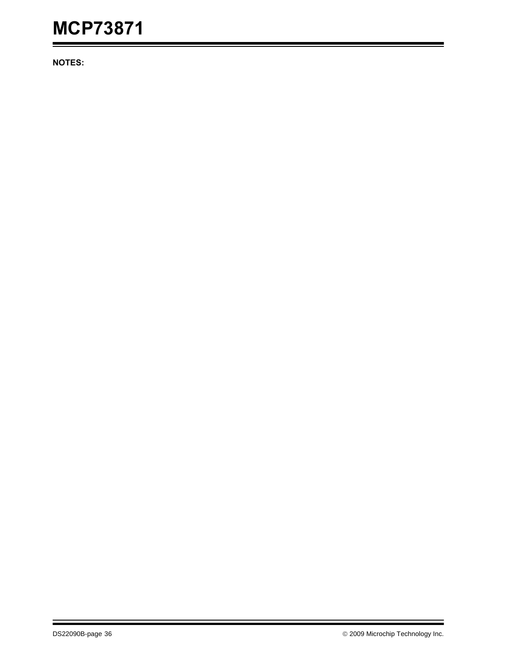**NOTES:**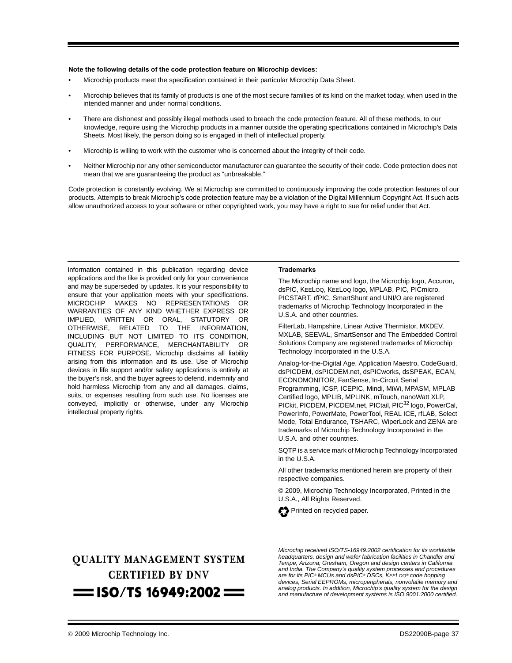#### **Note the following details of the code protection feature on Microchip devices:**

- Microchip products meet the specification contained in their particular Microchip Data Sheet.
- Microchip believes that its family of products is one of the most secure families of its kind on the market today, when used in the intended manner and under normal conditions.
- There are dishonest and possibly illegal methods used to breach the code protection feature. All of these methods, to our knowledge, require using the Microchip products in a manner outside the operating specifications contained in Microchip's Data Sheets. Most likely, the person doing so is engaged in theft of intellectual property.
- Microchip is willing to work with the customer who is concerned about the integrity of their code.
- Neither Microchip nor any other semiconductor manufacturer can guarantee the security of their code. Code protection does not mean that we are guaranteeing the product as "unbreakable."

Code protection is constantly evolving. We at Microchip are committed to continuously improving the code protection features of our products. Attempts to break Microchip's code protection feature may be a violation of the Digital Millennium Copyright Act. If such acts allow unauthorized access to your software or other copyrighted work, you may have a right to sue for relief under that Act.

Information contained in this publication regarding device applications and the like is provided only for your convenience and may be superseded by updates. It is your responsibility to ensure that your application meets with your specifications. MICROCHIP MAKES NO REPRESENTATIONS OR WARRANTIES OF ANY KIND WHETHER EXPRESS OR IMPLIED, WRITTEN OR ORAL, STATUTORY OR OTHERWISE, RELATED TO THE INFORMATION, INCLUDING BUT NOT LIMITED TO ITS CONDITION, QUALITY, PERFORMANCE, MERCHANTABILITY OR FITNESS FOR PURPOSE**.** Microchip disclaims all liability arising from this information and its use. Use of Microchip devices in life support and/or safety applications is entirely at the buyer's risk, and the buyer agrees to defend, indemnify and hold harmless Microchip from any and all damages, claims, suits, or expenses resulting from such use. No licenses are conveyed, implicitly or otherwise, under any Microchip intellectual property rights.

#### **Trademarks**

The Microchip name and logo, the Microchip logo, Accuron, dsPIC, KEELOQ, KEELOQ logo, MPLAB, PIC, PICmicro, PICSTART, rfPIC, SmartShunt and UNI/O are registered trademarks of Microchip Technology Incorporated in the U.S.A. and other countries.

FilterLab, Hampshire, Linear Active Thermistor, MXDEV, MXLAB, SEEVAL, SmartSensor and The Embedded Control Solutions Company are registered trademarks of Microchip Technology Incorporated in the U.S.A.

Analog-for-the-Digital Age, Application Maestro, CodeGuard, dsPICDEM, dsPICDEM.net, dsPICworks, dsSPEAK, ECAN, ECONOMONITOR, FanSense, In-Circuit Serial Programming, ICSP, ICEPIC, Mindi, MiWi, MPASM, MPLAB Certified logo, MPLIB, MPLINK, mTouch, nanoWatt XLP, PICkit, PICDEM, PICDEM.net, PICtail, PIC<sup>32</sup> logo, PowerCal, PowerInfo, PowerMate, PowerTool, REAL ICE, rfLAB, Select Mode, Total Endurance, TSHARC, WiperLock and ZENA are trademarks of Microchip Technology Incorporated in the U.S.A. and other countries.

SQTP is a service mark of Microchip Technology Incorporated in the U.S.A.

All other trademarks mentioned herein are property of their respective companies.

© 2009, Microchip Technology Incorporated, Printed in the U.S.A., All Rights Reserved.



# **OUALITY MANAGEMENT SYSTEM CERTIFIED BY DNV**  $=$  ISO/TS 16949:2002  $=$

*Microchip received ISO/TS-16949:2002 certification for its worldwide headquarters, design and wafer fabrication facilities in Chandler and Tempe, Arizona; Gresham, Oregon and design centers in California and India. The Company's quality system processes and procedures are for its PIC® MCUs and dsPIC® DSCs, KEELOQ® code hopping devices, Serial EEPROMs, microperipherals, nonvolatile memory and analog products. In addition, Microchip's quality system for the design and manufacture of development systems is ISO 9001:2000 certified.*